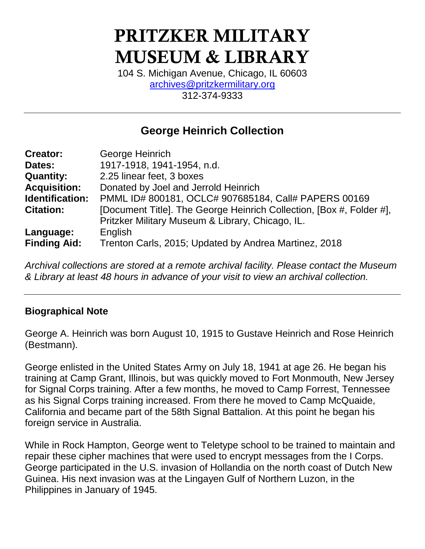# **PRITZKER MILITARY MUSEUM & LIBRARY**

104 S. Michigan Avenue, Chicago, IL 60603 [archives@pritzkermilitary.org](mailto:archives@pritzkermilitary.org) 312-374-9333

# **George Heinrich Collection**

| <b>Creator:</b>     | George Heinrich                                                      |
|---------------------|----------------------------------------------------------------------|
| Dates:              | 1917-1918, 1941-1954, n.d.                                           |
| <b>Quantity:</b>    | 2.25 linear feet, 3 boxes                                            |
| <b>Acquisition:</b> | Donated by Joel and Jerrold Heinrich                                 |
| Identification:     | PMML ID# 800181, OCLC# 907685184, Call# PAPERS 00169                 |
| <b>Citation:</b>    | [Document Title]. The George Heinrich Collection, [Box #, Folder #], |
|                     | Pritzker Military Museum & Library, Chicago, IL.                     |
| Language:           | English                                                              |
| <b>Finding Aid:</b> | Trenton Carls, 2015; Updated by Andrea Martinez, 2018                |

*Archival collections are stored at a remote archival facility. Please contact the Museum & Library at least 48 hours in advance of your visit to view an archival collection.*

## **Biographical Note**

George A. Heinrich was born August 10, 1915 to Gustave Heinrich and Rose Heinrich (Bestmann).

George enlisted in the United States Army on July 18, 1941 at age 26. He began his training at Camp Grant, Illinois, but was quickly moved to Fort Monmouth, New Jersey for Signal Corps training. After a few months, he moved to Camp Forrest, Tennessee as his Signal Corps training increased. From there he moved to Camp McQuaide, California and became part of the 58th Signal Battalion. At this point he began his foreign service in Australia.

While in Rock Hampton, George went to Teletype school to be trained to maintain and repair these cipher machines that were used to encrypt messages from the I Corps. George participated in the U.S. invasion of Hollandia on the north coast of Dutch New Guinea. His next invasion was at the Lingayen Gulf of Northern Luzon, in the Philippines in January of 1945.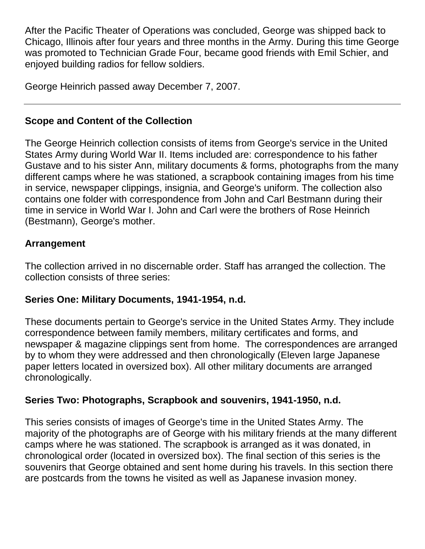After the Pacific Theater of Operations was concluded, George was shipped back to Chicago, Illinois after four years and three months in the Army. During this time George was promoted to Technician Grade Four, became good friends with Emil Schier, and enjoyed building radios for fellow soldiers.

George Heinrich passed away December 7, 2007.

# **Scope and Content of the Collection**

The George Heinrich collection consists of items from George's service in the United States Army during World War II. Items included are: correspondence to his father Gustave and to his sister Ann, military documents & forms, photographs from the many different camps where he was stationed, a scrapbook containing images from his time in service, newspaper clippings, insignia, and George's uniform. The collection also contains one folder with correspondence from John and Carl Bestmann during their time in service in World War I. John and Carl were the brothers of Rose Heinrich (Bestmann), George's mother.

## **Arrangement**

The collection arrived in no discernable order. Staff has arranged the collection. The collection consists of three series:

## **Series One: Military Documents, 1941-1954, n.d.**

These documents pertain to George's service in the United States Army. They include correspondence between family members, military certificates and forms, and newspaper & magazine clippings sent from home. The correspondences are arranged by to whom they were addressed and then chronologically (Eleven large Japanese paper letters located in oversized box). All other military documents are arranged chronologically.

# **Series Two: Photographs, Scrapbook and souvenirs, 1941-1950, n.d.**

This series consists of images of George's time in the United States Army. The majority of the photographs are of George with his military friends at the many different camps where he was stationed. The scrapbook is arranged as it was donated, in chronological order (located in oversized box). The final section of this series is the souvenirs that George obtained and sent home during his travels. In this section there are postcards from the towns he visited as well as Japanese invasion money.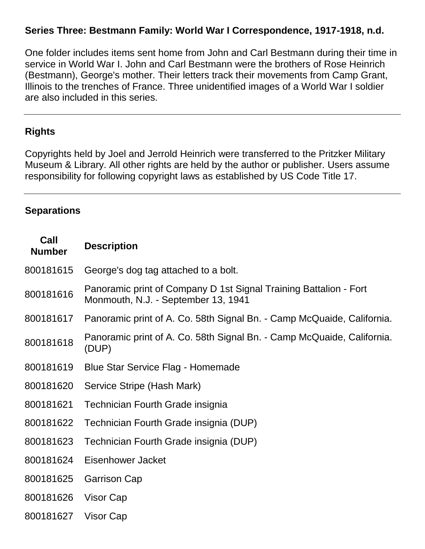### **Series Three: Bestmann Family: World War I Correspondence, 1917-1918, n.d.**

One folder includes items sent home from John and Carl Bestmann during their time in service in World War I. John and Carl Bestmann were the brothers of Rose Heinrich (Bestmann), George's mother. Their letters track their movements from Camp Grant, Illinois to the trenches of France. Three unidentified images of a World War I soldier are also included in this series.

#### **Rights**

Copyrights held by Joel and Jerrold Heinrich were transferred to the Pritzker Military Museum & Library. All other rights are held by the author or publisher. Users assume responsibility for following copyright laws as established by US Code Title 17.

#### **Separations**

| Call<br><b>Number</b> | <b>Description</b>                                                                                       |
|-----------------------|----------------------------------------------------------------------------------------------------------|
| 800181615             | George's dog tag attached to a bolt.                                                                     |
| 800181616             | Panoramic print of Company D 1st Signal Training Battalion - Fort<br>Monmouth, N.J. - September 13, 1941 |
| 800181617             | Panoramic print of A. Co. 58th Signal Bn. - Camp McQuaide, California.                                   |
| 800181618             | Panoramic print of A. Co. 58th Signal Bn. - Camp McQuaide, California.<br>(DUP)                          |
| 800181619             | <b>Blue Star Service Flag - Homemade</b>                                                                 |
| 800181620             | Service Stripe (Hash Mark)                                                                               |
| 800181621             | Technician Fourth Grade insignia                                                                         |
| 800181622             | Technician Fourth Grade insignia (DUP)                                                                   |
| 800181623             | Technician Fourth Grade insignia (DUP)                                                                   |
| 800181624             | Eisenhower Jacket                                                                                        |
| 800181625             | <b>Garrison Cap</b>                                                                                      |
| 800181626             | Visor Cap                                                                                                |
| 800181627             | Visor Cap                                                                                                |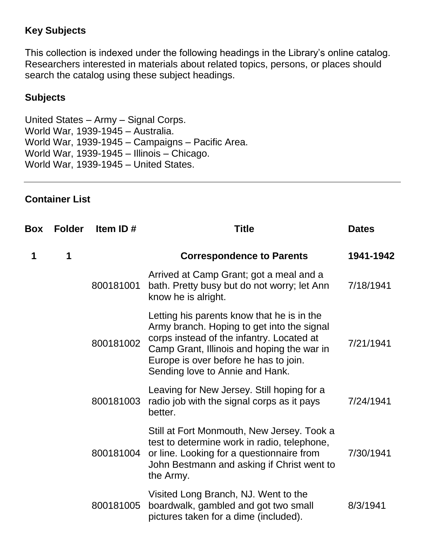## **Key Subjects**

This collection is indexed under the following headings in the Library's online catalog. Researchers interested in materials about related topics, persons, or places should search the catalog using these subject headings.

#### **Subjects**

United States – Army – Signal Corps. World War, 1939-1945 – Australia. World War, 1939-1945 – Campaigns – Pacific Area. World War, 1939-1945 – Illinois – Chicago. World War, 1939-1945 – United States.

#### **Container List**

| Box | <b>Folder</b> | Item ID#  | <b>Title</b>                                                                                                                                                                                                                                                    | <b>Dates</b> |
|-----|---------------|-----------|-----------------------------------------------------------------------------------------------------------------------------------------------------------------------------------------------------------------------------------------------------------------|--------------|
| 1   | 1             |           | <b>Correspondence to Parents</b>                                                                                                                                                                                                                                | 1941-1942    |
|     |               | 800181001 | Arrived at Camp Grant; got a meal and a<br>bath. Pretty busy but do not worry; let Ann<br>know he is alright.                                                                                                                                                   | 7/18/1941    |
|     |               | 800181002 | Letting his parents know that he is in the<br>Army branch. Hoping to get into the signal<br>corps instead of the infantry. Located at<br>Camp Grant, Illinois and hoping the war in<br>Europe is over before he has to join.<br>Sending love to Annie and Hank. | 7/21/1941    |
|     |               | 800181003 | Leaving for New Jersey. Still hoping for a<br>radio job with the signal corps as it pays<br>better.                                                                                                                                                             | 7/24/1941    |
|     |               | 800181004 | Still at Fort Monmouth, New Jersey. Took a<br>test to determine work in radio, telephone,<br>or line. Looking for a questionnaire from<br>John Bestmann and asking if Christ went to<br>the Army.                                                               | 7/30/1941    |
|     |               | 800181005 | Visited Long Branch, NJ. Went to the<br>boardwalk, gambled and got two small<br>pictures taken for a dime (included).                                                                                                                                           | 8/3/1941     |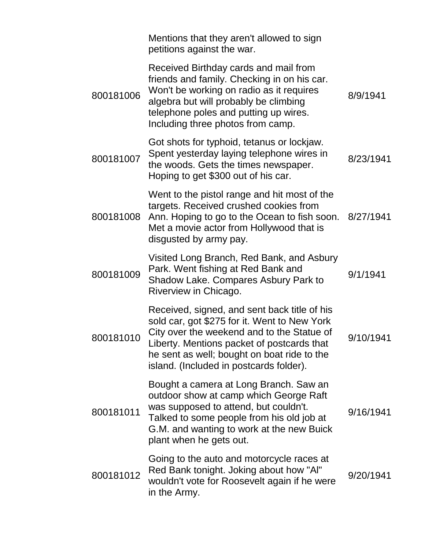|           | Mentions that they aren't allowed to sign<br>petitions against the war.                                                                                                                                                                                                            |           |
|-----------|------------------------------------------------------------------------------------------------------------------------------------------------------------------------------------------------------------------------------------------------------------------------------------|-----------|
| 800181006 | Received Birthday cards and mail from<br>friends and family. Checking in on his car.<br>Won't be working on radio as it requires<br>algebra but will probably be climbing<br>telephone poles and putting up wires.<br>Including three photos from camp.                            | 8/9/1941  |
| 800181007 | Got shots for typhoid, tetanus or lockjaw.<br>Spent yesterday laying telephone wires in<br>the woods. Gets the times newspaper.<br>Hoping to get \$300 out of his car.                                                                                                             | 8/23/1941 |
| 800181008 | Went to the pistol range and hit most of the<br>targets. Received crushed cookies from<br>Ann. Hoping to go to the Ocean to fish soon. 8/27/1941<br>Met a movie actor from Hollywood that is<br>disgusted by army pay.                                                             |           |
| 800181009 | Visited Long Branch, Red Bank, and Asbury<br>Park. Went fishing at Red Bank and<br>Shadow Lake. Compares Asbury Park to<br>Riverview in Chicago.                                                                                                                                   | 9/1/1941  |
| 800181010 | Received, signed, and sent back title of his<br>sold car, got \$275 for it. Went to New York<br>City over the weekend and to the Statue of<br>Liberty. Mentions packet of postcards that<br>he sent as well; bought on boat ride to the<br>island. (Included in postcards folder). | 9/10/1941 |
| 800181011 | Bought a camera at Long Branch. Saw an<br>outdoor show at camp which George Raft<br>was supposed to attend, but couldn't.<br>Talked to some people from his old job at<br>G.M. and wanting to work at the new Buick<br>plant when he gets out.                                     | 9/16/1941 |
| 800181012 | Going to the auto and motorcycle races at<br>Red Bank tonight. Joking about how "Al"<br>wouldn't vote for Roosevelt again if he were<br>in the Army.                                                                                                                               | 9/20/1941 |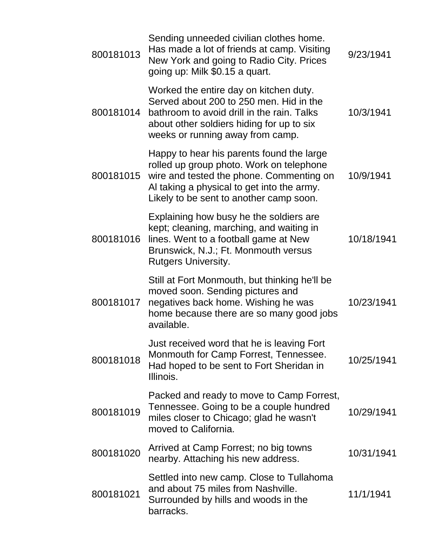| 800181013 | Sending unneeded civilian clothes home.<br>Has made a lot of friends at camp. Visiting<br>New York and going to Radio City. Prices<br>going up: Milk \$0.15 a quart.                                                       | 9/23/1941  |
|-----------|----------------------------------------------------------------------------------------------------------------------------------------------------------------------------------------------------------------------------|------------|
| 800181014 | Worked the entire day on kitchen duty.<br>Served about 200 to 250 men. Hid in the<br>bathroom to avoid drill in the rain. Talks<br>about other soldiers hiding for up to six<br>weeks or running away from camp.           | 10/3/1941  |
| 800181015 | Happy to hear his parents found the large<br>rolled up group photo. Work on telephone<br>wire and tested the phone. Commenting on<br>Al taking a physical to get into the army.<br>Likely to be sent to another camp soon. | 10/9/1941  |
| 800181016 | Explaining how busy he the soldiers are<br>kept; cleaning, marching, and waiting in<br>lines. Went to a football game at New<br>Brunswick, N.J.; Ft. Monmouth versus<br><b>Rutgers University.</b>                         | 10/18/1941 |
| 800181017 | Still at Fort Monmouth, but thinking he'll be<br>moved soon. Sending pictures and<br>negatives back home. Wishing he was<br>home because there are so many good jobs<br>available.                                         | 10/23/1941 |
| 800181018 | Just received word that he is leaving Fort<br>Monmouth for Camp Forrest, Tennessee.<br>Had hoped to be sent to Fort Sheridan in<br>Illinois.                                                                               | 10/25/1941 |
| 800181019 | Packed and ready to move to Camp Forrest,<br>Tennessee. Going to be a couple hundred<br>miles closer to Chicago; glad he wasn't<br>moved to California.                                                                    | 10/29/1941 |
| 800181020 | Arrived at Camp Forrest; no big towns<br>nearby. Attaching his new address.                                                                                                                                                | 10/31/1941 |
| 800181021 | Settled into new camp. Close to Tullahoma<br>and about 75 miles from Nashville.<br>Surrounded by hills and woods in the<br>barracks.                                                                                       | 11/1/1941  |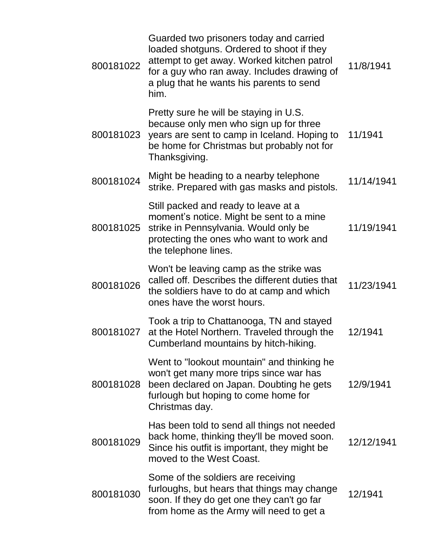| 800181022 | Guarded two prisoners today and carried<br>loaded shotguns. Ordered to shoot if they<br>attempt to get away. Worked kitchen patrol<br>for a guy who ran away. Includes drawing of<br>a plug that he wants his parents to send<br>him. | 11/8/1941  |
|-----------|---------------------------------------------------------------------------------------------------------------------------------------------------------------------------------------------------------------------------------------|------------|
| 800181023 | Pretty sure he will be staying in U.S.<br>because only men who sign up for three<br>years are sent to camp in Iceland. Hoping to<br>be home for Christmas but probably not for<br>Thanksgiving.                                       | 11/1941    |
| 800181024 | Might be heading to a nearby telephone<br>strike. Prepared with gas masks and pistols.                                                                                                                                                | 11/14/1941 |
| 800181025 | Still packed and ready to leave at a<br>moment's notice. Might be sent to a mine<br>strike in Pennsylvania. Would only be<br>protecting the ones who want to work and<br>the telephone lines.                                         | 11/19/1941 |
| 800181026 | Won't be leaving camp as the strike was<br>called off. Describes the different duties that<br>the soldiers have to do at camp and which<br>ones have the worst hours.                                                                 | 11/23/1941 |
| 800181027 | Took a trip to Chattanooga, TN and stayed<br>at the Hotel Northern. Traveled through the<br>Cumberland mountains by hitch-hiking.                                                                                                     | 12/1941    |
| 800181028 | Went to "lookout mountain" and thinking he<br>won't get many more trips since war has<br>been declared on Japan. Doubting he gets<br>furlough but hoping to come home for<br>Christmas day.                                           | 12/9/1941  |
| 800181029 | Has been told to send all things not needed<br>back home, thinking they'll be moved soon.<br>Since his outfit is important, they might be<br>moved to the West Coast.                                                                 | 12/12/1941 |
| 800181030 | Some of the soldiers are receiving<br>furloughs, but hears that things may change<br>soon. If they do get one they can't go far<br>from home as the Army will need to get a                                                           | 12/1941    |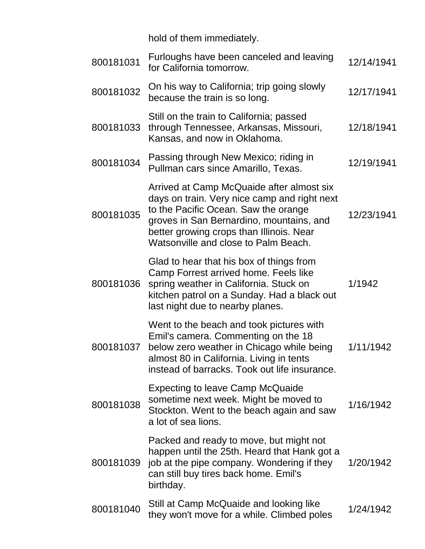hold of them immediately.

| 800181031 | Furloughs have been canceled and leaving<br>for California tomorrow.                                                                                                                                                                                              | 12/14/1941 |
|-----------|-------------------------------------------------------------------------------------------------------------------------------------------------------------------------------------------------------------------------------------------------------------------|------------|
| 800181032 | On his way to California; trip going slowly<br>because the train is so long.                                                                                                                                                                                      | 12/17/1941 |
| 800181033 | Still on the train to California; passed<br>through Tennessee, Arkansas, Missouri,<br>Kansas, and now in Oklahoma.                                                                                                                                                | 12/18/1941 |
| 800181034 | Passing through New Mexico; riding in<br>Pullman cars since Amarillo, Texas.                                                                                                                                                                                      | 12/19/1941 |
| 800181035 | Arrived at Camp McQuaide after almost six<br>days on train. Very nice camp and right next<br>to the Pacific Ocean. Saw the orange<br>groves in San Bernardino, mountains, and<br>better growing crops than Illinois. Near<br>Watsonville and close to Palm Beach. | 12/23/1941 |
| 800181036 | Glad to hear that his box of things from<br>Camp Forrest arrived home. Feels like<br>spring weather in California. Stuck on<br>kitchen patrol on a Sunday. Had a black out<br>last night due to nearby planes.                                                    | 1/1942     |
| 800181037 | Went to the beach and took pictures with<br>Emil's camera. Commenting on the 18<br>below zero weather in Chicago while being<br>almost 80 in California. Living in tents<br>instead of barracks. Took out life insurance.                                         | 1/11/1942  |
| 800181038 | <b>Expecting to leave Camp McQuaide</b><br>sometime next week. Might be moved to<br>Stockton. Went to the beach again and saw<br>a lot of sea lions.                                                                                                              | 1/16/1942  |
| 800181039 | Packed and ready to move, but might not<br>happen until the 25th. Heard that Hank got a<br>job at the pipe company. Wondering if they<br>can still buy tires back home. Emil's<br>birthday.                                                                       | 1/20/1942  |
| 800181040 | Still at Camp McQuaide and looking like<br>they won't move for a while. Climbed poles                                                                                                                                                                             | 1/24/1942  |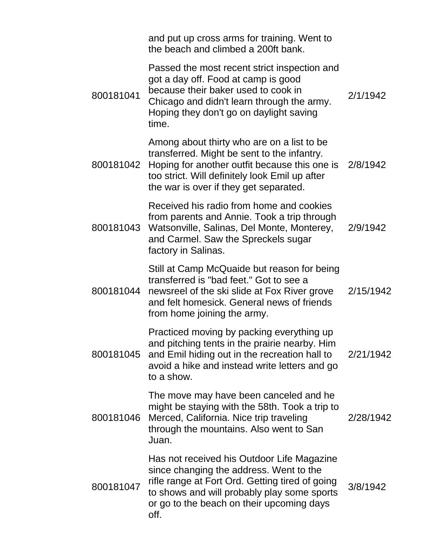|           | and put up cross arms for training. Went to<br>the beach and climbed a 200ft bank.                                                                                                                                                              |           |
|-----------|-------------------------------------------------------------------------------------------------------------------------------------------------------------------------------------------------------------------------------------------------|-----------|
| 800181041 | Passed the most recent strict inspection and<br>got a day off. Food at camp is good<br>because their baker used to cook in<br>Chicago and didn't learn through the army.<br>Hoping they don't go on daylight saving<br>time.                    | 2/1/1942  |
| 800181042 | Among about thirty who are on a list to be<br>transferred. Might be sent to the infantry.<br>Hoping for another outfit because this one is 2/8/1942<br>too strict. Will definitely look Emil up after<br>the war is over if they get separated. |           |
|           | Received his radio from home and cookies<br>from parents and Annie. Took a trip through<br>800181043 Watsonville, Salinas, Del Monte, Monterey,<br>and Carmel. Saw the Spreckels sugar<br>factory in Salinas.                                   | 2/9/1942  |
| 800181044 | Still at Camp McQuaide but reason for being<br>transferred is "bad feet." Got to see a<br>newsreel of the ski slide at Fox River grove<br>and felt homesick. General news of friends<br>from home joining the army.                             | 2/15/1942 |
| 800181045 | Practiced moving by packing everything up<br>and pitching tents in the prairie nearby. Him<br>and Emil hiding out in the recreation hall to<br>avoid a hike and instead write letters and go<br>to a show.                                      | 2/21/1942 |
| 800181046 | The move may have been canceled and he<br>might be staying with the 58th. Took a trip to<br>Merced, California. Nice trip traveling<br>through the mountains. Also went to San<br>Juan.                                                         | 2/28/1942 |
| 800181047 | Has not received his Outdoor Life Magazine<br>since changing the address. Went to the<br>rifle range at Fort Ord. Getting tired of going<br>to shows and will probably play some sports<br>or go to the beach on their upcoming days<br>off.    | 3/8/1942  |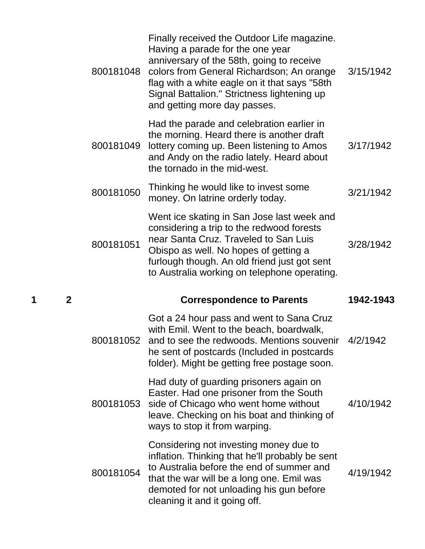| 800181048 | Finally received the Outdoor Life magazine.<br>Having a parade for the one year<br>anniversary of the 58th, going to receive<br>colors from General Richardson; An orange<br>flag with a white eagle on it that says "58th<br>Signal Battalion." Strictness lightening up<br>and getting more day passes. | 3/15/1942 |
|-----------|-----------------------------------------------------------------------------------------------------------------------------------------------------------------------------------------------------------------------------------------------------------------------------------------------------------|-----------|
| 800181049 | Had the parade and celebration earlier in<br>the morning. Heard there is another draft<br>lottery coming up. Been listening to Amos<br>and Andy on the radio lately. Heard about<br>the tornado in the mid-west.                                                                                          | 3/17/1942 |
| 800181050 | Thinking he would like to invest some<br>money. On latrine orderly today.                                                                                                                                                                                                                                 | 3/21/1942 |
| 800181051 | Went ice skating in San Jose last week and<br>considering a trip to the redwood forests<br>near Santa Cruz. Traveled to San Luis<br>Obispo as well. No hopes of getting a<br>furlough though. An old friend just got sent<br>to Australia working on telephone operating.                                 | 3/28/1942 |
|           |                                                                                                                                                                                                                                                                                                           |           |
|           | <b>Correspondence to Parents</b>                                                                                                                                                                                                                                                                          | 1942-1943 |
| 800181052 | Got a 24 hour pass and went to Sana Cruz<br>with Emil. Went to the beach, boardwalk,<br>and to see the redwoods. Mentions souvenir<br>he sent of postcards (Included in postcards<br>folder). Might be getting free postage soon.                                                                         | 4/2/1942  |
| 800181053 | Had duty of guarding prisoners again on<br>Easter. Had one prisoner from the South<br>side of Chicago who went home without<br>leave. Checking on his boat and thinking of<br>ways to stop it from warping.                                                                                               | 4/10/1942 |
| 800181054 | Considering not investing money due to<br>inflation. Thinking that he'll probably be sent<br>to Australia before the end of summer and<br>that the war will be a long one. Emil was<br>demoted for not unloading his gun before<br>cleaning it and it going off.                                          | 4/19/1942 |

**1 2 Correspondence to Parents 1942-1943**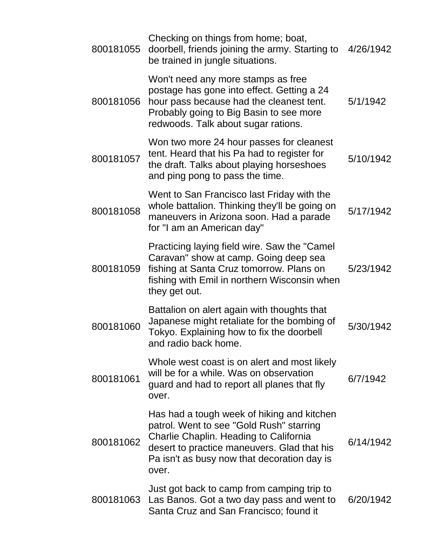| 800181055 | Checking on things from home; boat,<br>doorbell, friends joining the army. Starting to<br>be trained in jungle situations.                                                                                                              | 4/26/1942 |
|-----------|-----------------------------------------------------------------------------------------------------------------------------------------------------------------------------------------------------------------------------------------|-----------|
| 800181056 | Won't need any more stamps as free<br>postage has gone into effect. Getting a 24<br>hour pass because had the cleanest tent.<br>Probably going to Big Basin to see more<br>redwoods. Talk about sugar rations.                          | 5/1/1942  |
| 800181057 | Won two more 24 hour passes for cleanest<br>tent. Heard that his Pa had to register for<br>the draft. Talks about playing horseshoes<br>and ping pong to pass the time.                                                                 | 5/10/1942 |
| 800181058 | Went to San Francisco last Friday with the<br>whole battalion. Thinking they'll be going on<br>maneuvers in Arizona soon. Had a parade<br>for "I am an American day"                                                                    | 5/17/1942 |
| 800181059 | Practicing laying field wire. Saw the "Camel"<br>Caravan" show at camp. Going deep sea<br>fishing at Santa Cruz tomorrow. Plans on<br>fishing with Emil in northern Wisconsin when<br>they get out.                                     | 5/23/1942 |
| 800181060 | Battalion on alert again with thoughts that<br>Japanese might retaliate for the bombing of<br>Tokyo. Explaining how to fix the doorbell<br>and radio back home.                                                                         | 5/30/1942 |
| 800181061 | Whole west coast is on alert and most likely<br>will be for a while. Was on observation<br>guard and had to report all planes that fly<br>over.                                                                                         | 6/7/1942  |
| 800181062 | Has had a tough week of hiking and kitchen<br>patrol. Went to see "Gold Rush" starring<br>Charlie Chaplin. Heading to California<br>desert to practice maneuvers. Glad that his<br>Pa isn't as busy now that decoration day is<br>over. | 6/14/1942 |
|           | Just got back to camp from camping trip to<br>800181063 Las Banos. Got a two day pass and went to<br>Santa Cruz and San Francisco; found it                                                                                             | 6/20/1942 |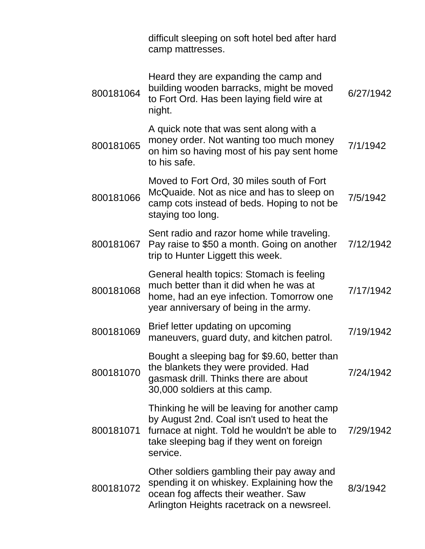|           | difficult sleeping on soft hotel bed after hard<br>camp mattresses.                                                                                                                                  |           |
|-----------|------------------------------------------------------------------------------------------------------------------------------------------------------------------------------------------------------|-----------|
| 800181064 | Heard they are expanding the camp and<br>building wooden barracks, might be moved<br>to Fort Ord. Has been laying field wire at<br>night.                                                            | 6/27/1942 |
| 800181065 | A quick note that was sent along with a<br>money order. Not wanting too much money<br>on him so having most of his pay sent home<br>to his safe.                                                     | 7/1/1942  |
| 800181066 | Moved to Fort Ord, 30 miles south of Fort<br>McQuaide. Not as nice and has to sleep on<br>camp cots instead of beds. Hoping to not be<br>staying too long.                                           | 7/5/1942  |
| 800181067 | Sent radio and razor home while traveling.<br>Pay raise to \$50 a month. Going on another<br>trip to Hunter Liggett this week.                                                                       | 7/12/1942 |
| 800181068 | General health topics: Stomach is feeling<br>much better than it did when he was at<br>home, had an eye infection. Tomorrow one<br>year anniversary of being in the army.                            | 7/17/1942 |
| 800181069 | Brief letter updating on upcoming<br>maneuvers, guard duty, and kitchen patrol.                                                                                                                      | 7/19/1942 |
| 800181070 | Bought a sleeping bag for \$9.60, better than<br>the blankets they were provided. Had<br>gasmask drill. Thinks there are about<br>30,000 soldiers at this camp.                                      | 7/24/1942 |
| 800181071 | Thinking he will be leaving for another camp<br>by August 2nd. Coal isn't used to heat the<br>furnace at night. Told he wouldn't be able to<br>take sleeping bag if they went on foreign<br>service. | 7/29/1942 |
| 800181072 | Other soldiers gambling their pay away and<br>spending it on whiskey. Explaining how the<br>ocean fog affects their weather. Saw<br>Arlington Heights racetrack on a newsreel.                       | 8/3/1942  |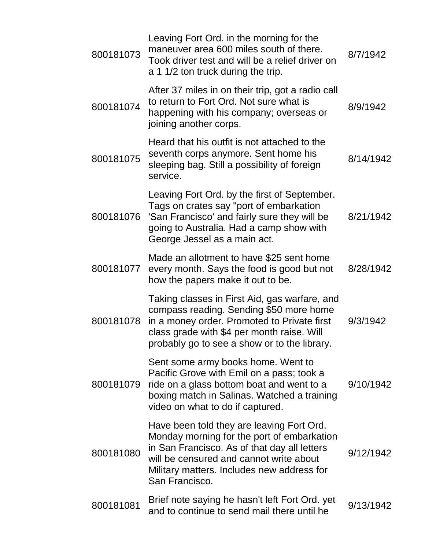| 800181073 | Leaving Fort Ord. in the morning for the<br>maneuver area 600 miles south of there.<br>Took driver test and will be a relief driver on<br>a 1 1/2 ton truck during the trip.                                                                       | 8/7/1942  |
|-----------|----------------------------------------------------------------------------------------------------------------------------------------------------------------------------------------------------------------------------------------------------|-----------|
| 800181074 | After 37 miles in on their trip, got a radio call<br>to return to Fort Ord. Not sure what is<br>happening with his company; overseas or<br>joining another corps.                                                                                  | 8/9/1942  |
| 800181075 | Heard that his outfit is not attached to the<br>seventh corps anymore. Sent home his<br>sleeping bag. Still a possibility of foreign<br>service.                                                                                                   | 8/14/1942 |
| 800181076 | Leaving Fort Ord. by the first of September.<br>Tags on crates say "port of embarkation<br>'San Francisco' and fairly sure they will be<br>going to Australia. Had a camp show with<br>George Jessel as a main act.                                | 8/21/1942 |
| 800181077 | Made an allotment to have \$25 sent home<br>every month. Says the food is good but not<br>how the papers make it out to be.                                                                                                                        | 8/28/1942 |
| 800181078 | Taking classes in First Aid, gas warfare, and<br>compass reading. Sending \$50 more home<br>in a money order. Promoted to Private first<br>class grade with \$4 per month raise. Will<br>probably go to see a show or to the library.              | 9/3/1942  |
| 800181079 | Sent some army books home. Went to<br>Pacific Grove with Emil on a pass; took a<br>ride on a glass bottom boat and went to a<br>boxing match in Salinas. Watched a training<br>video on what to do if captured.                                    | 9/10/1942 |
| 800181080 | Have been told they are leaving Fort Ord.<br>Monday morning for the port of embarkation<br>in San Francisco. As of that day all letters<br>will be censured and cannot write about<br>Military matters. Includes new address for<br>San Francisco. | 9/12/1942 |
| 800181081 | Brief note saying he hasn't left Fort Ord. yet<br>and to continue to send mail there until he                                                                                                                                                      | 9/13/1942 |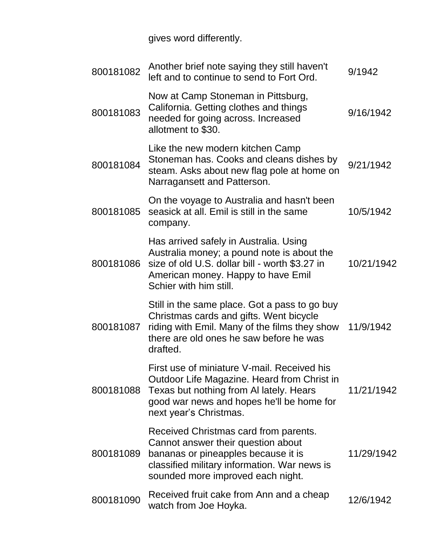gives word differently.

| 800181082 | Another brief note saying they still haven't<br>left and to continue to send to Fort Ord.                                                                                                                    | 9/1942     |
|-----------|--------------------------------------------------------------------------------------------------------------------------------------------------------------------------------------------------------------|------------|
| 800181083 | Now at Camp Stoneman in Pittsburg,<br>California. Getting clothes and things<br>needed for going across. Increased<br>allotment to \$30.                                                                     | 9/16/1942  |
| 800181084 | Like the new modern kitchen Camp<br>Stoneman has. Cooks and cleans dishes by<br>steam. Asks about new flag pole at home on<br>Narragansett and Patterson.                                                    | 9/21/1942  |
| 800181085 | On the voyage to Australia and hasn't been<br>seasick at all. Emil is still in the same<br>company.                                                                                                          | 10/5/1942  |
| 800181086 | Has arrived safely in Australia. Using<br>Australia money; a pound note is about the<br>size of old U.S. dollar bill - worth \$3.27 in<br>American money. Happy to have Emil<br>Schier with him still.       | 10/21/1942 |
| 800181087 | Still in the same place. Got a pass to go buy<br>Christmas cards and gifts. Went bicycle<br>riding with Emil. Many of the films they show<br>there are old ones he saw before he was<br>drafted.             | 11/9/1942  |
| 800181088 | First use of miniature V-mail. Received his<br>Outdoor Life Magazine. Heard from Christ in<br>Texas but nothing from AI lately. Hears<br>good war news and hopes he'll be home for<br>next year's Christmas. | 11/21/1942 |
| 800181089 | Received Christmas card from parents.<br>Cannot answer their question about<br>bananas or pineapples because it is<br>classified military information. War news is<br>sounded more improved each night.      | 11/29/1942 |
| 800181090 | Received fruit cake from Ann and a cheap<br>watch from Joe Hoyka.                                                                                                                                            | 12/6/1942  |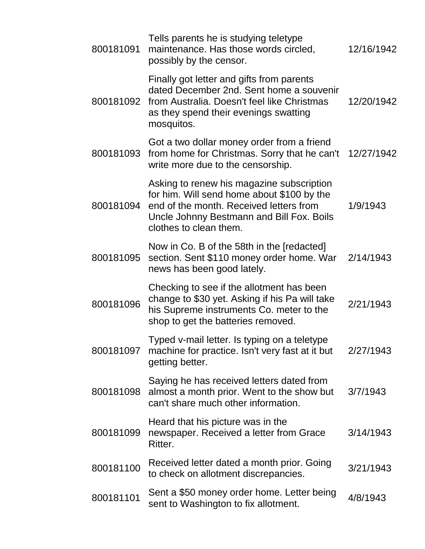| 800181091 | Tells parents he is studying teletype<br>maintenance. Has those words circled,<br>possibly by the censor.                                                                                                 | 12/16/1942 |
|-----------|-----------------------------------------------------------------------------------------------------------------------------------------------------------------------------------------------------------|------------|
|           | Finally got letter and gifts from parents<br>dated December 2nd. Sent home a souvenir<br>800181092 from Australia. Doesn't feel like Christmas<br>as they spend their evenings swatting<br>mosquitos.     | 12/20/1942 |
| 800181093 | Got a two dollar money order from a friend<br>from home for Christmas. Sorry that he can't<br>write more due to the censorship.                                                                           | 12/27/1942 |
| 800181094 | Asking to renew his magazine subscription<br>for him. Will send home about \$100 by the<br>end of the month. Received letters from<br>Uncle Johnny Bestmann and Bill Fox. Boils<br>clothes to clean them. | 1/9/1943   |
| 800181095 | Now in Co. B of the 58th in the [redacted]<br>section. Sent \$110 money order home. War<br>news has been good lately.                                                                                     | 2/14/1943  |
| 800181096 | Checking to see if the allotment has been<br>change to \$30 yet. Asking if his Pa will take<br>his Supreme instruments Co. meter to the<br>shop to get the batteries removed.                             | 2/21/1943  |
| 800181097 | Typed v-mail letter. Is typing on a teletype<br>machine for practice. Isn't very fast at it but<br>getting better.                                                                                        | 2/27/1943  |
| 800181098 | Saying he has received letters dated from<br>almost a month prior. Went to the show but<br>can't share much other information.                                                                            | 3/7/1943   |
| 800181099 | Heard that his picture was in the<br>newspaper. Received a letter from Grace<br>Ritter.                                                                                                                   | 3/14/1943  |
| 800181100 | Received letter dated a month prior. Going<br>to check on allotment discrepancies.                                                                                                                        | 3/21/1943  |
| 800181101 | Sent a \$50 money order home. Letter being<br>sent to Washington to fix allotment.                                                                                                                        | 4/8/1943   |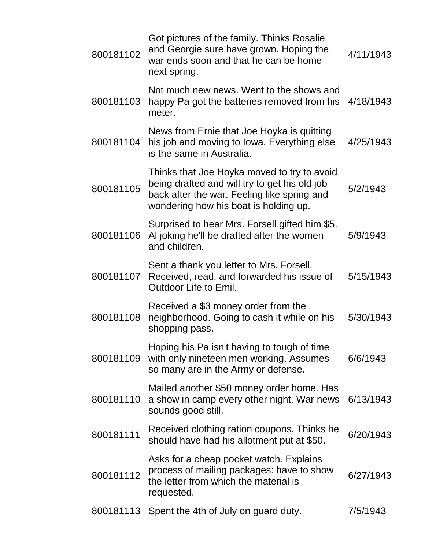| 800181102 | Got pictures of the family. Thinks Rosalie<br>and Georgie sure have grown. Hoping the<br>war ends soon and that he can be home<br>next spring.                                       | 4/11/1943 |
|-----------|--------------------------------------------------------------------------------------------------------------------------------------------------------------------------------------|-----------|
| 800181103 | Not much new news. Went to the shows and<br>happy Pa got the batteries removed from his 4/18/1943<br>meter.                                                                          |           |
| 800181104 | News from Ernie that Joe Hoyka is quitting<br>his job and moving to Iowa. Everything else<br>is the same in Australia.                                                               | 4/25/1943 |
| 800181105 | Thinks that Joe Hoyka moved to try to avoid<br>being drafted and will try to get his old job<br>back after the war. Feeling like spring and<br>wondering how his boat is holding up. | 5/2/1943  |
| 800181106 | Surprised to hear Mrs. Forsell gifted him \$5.<br>Al joking he'll be drafted after the women<br>and children.                                                                        | 5/9/1943  |
| 800181107 | Sent a thank you letter to Mrs. Forsell.<br>Received, read, and forwarded his issue of<br><b>Outdoor Life to Emil.</b>                                                               | 5/15/1943 |
| 800181108 | Received a \$3 money order from the<br>neighborhood. Going to cash it while on his<br>shopping pass.                                                                                 | 5/30/1943 |
| 800181109 | Hoping his Pa isn't having to tough of time<br>with only nineteen men working. Assumes<br>so many are in the Army or defense.                                                        | 6/6/1943  |
| 800181110 | Mailed another \$50 money order home. Has<br>a show in camp every other night. War news<br>sounds good still.                                                                        | 6/13/1943 |
| 800181111 | Received clothing ration coupons. Thinks he<br>should have had his allotment put at \$50.                                                                                            | 6/20/1943 |
| 800181112 | Asks for a cheap pocket watch. Explains<br>process of mailing packages: have to show<br>the letter from which the material is<br>requested.                                          | 6/27/1943 |
| 800181113 | Spent the 4th of July on guard duty.                                                                                                                                                 | 7/5/1943  |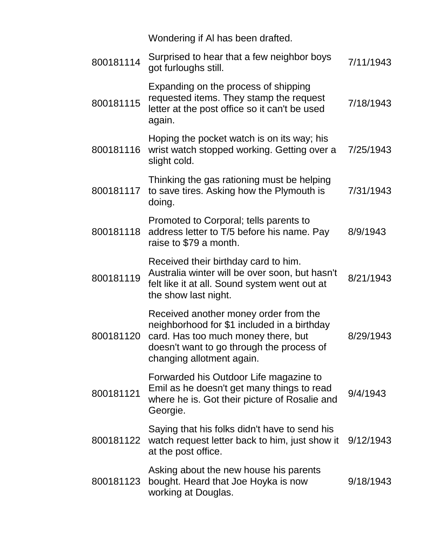Wondering if Al has been drafted.

| 800181114 | Surprised to hear that a few neighbor boys<br>got furloughs still.                                                                                                                                    | 7/11/1943 |
|-----------|-------------------------------------------------------------------------------------------------------------------------------------------------------------------------------------------------------|-----------|
| 800181115 | Expanding on the process of shipping<br>requested items. They stamp the request<br>letter at the post office so it can't be used<br>again.                                                            | 7/18/1943 |
| 800181116 | Hoping the pocket watch is on its way; his<br>wrist watch stopped working. Getting over a<br>slight cold.                                                                                             | 7/25/1943 |
| 800181117 | Thinking the gas rationing must be helping<br>to save tires. Asking how the Plymouth is<br>doing.                                                                                                     | 7/31/1943 |
| 800181118 | Promoted to Corporal; tells parents to<br>address letter to T/5 before his name. Pay<br>raise to \$79 a month.                                                                                        | 8/9/1943  |
| 800181119 | Received their birthday card to him.<br>Australia winter will be over soon, but hasn't<br>felt like it at all. Sound system went out at<br>the show last night.                                       | 8/21/1943 |
| 800181120 | Received another money order from the<br>neighborhood for \$1 included in a birthday<br>card. Has too much money there, but<br>doesn't want to go through the process of<br>changing allotment again. | 8/29/1943 |
| 800181121 | Forwarded his Outdoor Life magazine to<br>Emil as he doesn't get many things to read<br>where he is. Got their picture of Rosalie and<br>Georgie.                                                     | 9/4/1943  |
| 800181122 | Saying that his folks didn't have to send his<br>watch request letter back to him, just show it<br>at the post office.                                                                                | 9/12/1943 |
| 800181123 | Asking about the new house his parents<br>bought. Heard that Joe Hoyka is now<br>working at Douglas.                                                                                                  | 9/18/1943 |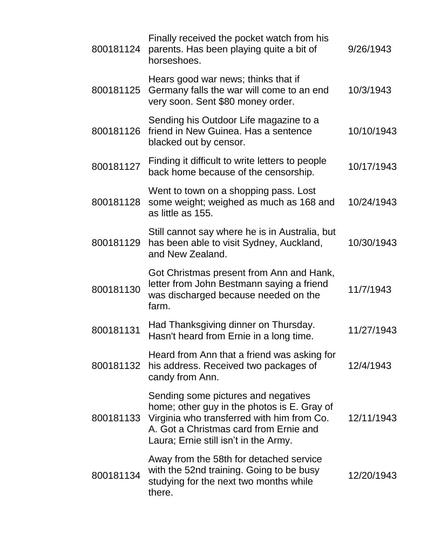| 800181124 | Finally received the pocket watch from his<br>parents. Has been playing quite a bit of<br>horseshoes.                                                                                                               | 9/26/1943  |
|-----------|---------------------------------------------------------------------------------------------------------------------------------------------------------------------------------------------------------------------|------------|
| 800181125 | Hears good war news; thinks that if<br>Germany falls the war will come to an end<br>very soon. Sent \$80 money order.                                                                                               | 10/3/1943  |
| 800181126 | Sending his Outdoor Life magazine to a<br>friend in New Guinea. Has a sentence<br>blacked out by censor.                                                                                                            | 10/10/1943 |
| 800181127 | Finding it difficult to write letters to people<br>back home because of the censorship.                                                                                                                             | 10/17/1943 |
| 800181128 | Went to town on a shopping pass. Lost<br>some weight; weighed as much as 168 and<br>as little as 155.                                                                                                               | 10/24/1943 |
| 800181129 | Still cannot say where he is in Australia, but<br>has been able to visit Sydney, Auckland,<br>and New Zealand.                                                                                                      | 10/30/1943 |
| 800181130 | Got Christmas present from Ann and Hank,<br>letter from John Bestmann saying a friend<br>was discharged because needed on the<br>farm.                                                                              | 11/7/1943  |
| 800181131 | Had Thanksgiving dinner on Thursday.<br>Hasn't heard from Ernie in a long time.                                                                                                                                     | 11/27/1943 |
| 800181132 | Heard from Ann that a friend was asking for<br>his address. Received two packages of<br>candy from Ann.                                                                                                             | 12/4/1943  |
| 800181133 | Sending some pictures and negatives<br>home; other guy in the photos is E. Gray of<br>Virginia who transferred with him from Co.<br>A. Got a Christmas card from Ernie and<br>Laura; Ernie still isn't in the Army. | 12/11/1943 |
| 800181134 | Away from the 58th for detached service<br>with the 52nd training. Going to be busy<br>studying for the next two months while<br>there.                                                                             | 12/20/1943 |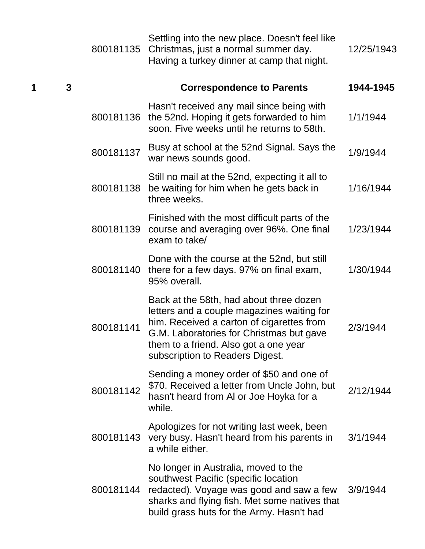|   |   | 800181135 | Settling into the new place. Doesn't feel like<br>Christmas, just a normal summer day.<br>Having a turkey dinner at camp that night.                                                                                                                       | 12/25/1943 |
|---|---|-----------|------------------------------------------------------------------------------------------------------------------------------------------------------------------------------------------------------------------------------------------------------------|------------|
| 1 | 3 |           | <b>Correspondence to Parents</b>                                                                                                                                                                                                                           | 1944-1945  |
|   |   | 800181136 | Hasn't received any mail since being with<br>the 52nd. Hoping it gets forwarded to him<br>soon. Five weeks until he returns to 58th.                                                                                                                       | 1/1/1944   |
|   |   | 800181137 | Busy at school at the 52nd Signal. Says the<br>war news sounds good.                                                                                                                                                                                       | 1/9/1944   |
|   |   | 800181138 | Still no mail at the 52nd, expecting it all to<br>be waiting for him when he gets back in<br>three weeks.                                                                                                                                                  | 1/16/1944  |
|   |   | 800181139 | Finished with the most difficult parts of the<br>course and averaging over 96%. One final<br>exam to take/                                                                                                                                                 | 1/23/1944  |
|   |   | 800181140 | Done with the course at the 52nd, but still<br>there for a few days. 97% on final exam,<br>95% overall.                                                                                                                                                    | 1/30/1944  |
|   |   | 800181141 | Back at the 58th, had about three dozen<br>letters and a couple magazines waiting for<br>him. Received a carton of cigarettes from<br>G.M. Laboratories for Christmas but gave<br>them to a friend. Also got a one year<br>subscription to Readers Digest. | 2/3/1944   |
|   |   | 800181142 | Sending a money order of \$50 and one of<br>\$70. Received a letter from Uncle John, but<br>hasn't heard from AI or Joe Hoyka for a<br>while.                                                                                                              | 2/12/1944  |
|   |   | 800181143 | Apologizes for not writing last week, been<br>very busy. Hasn't heard from his parents in<br>a while either.                                                                                                                                               | 3/1/1944   |
|   |   | 800181144 | No longer in Australia, moved to the<br>southwest Pacific (specific location<br>redacted). Voyage was good and saw a few<br>sharks and flying fish. Met some natives that<br>build grass huts for the Army. Hasn't had                                     | 3/9/1944   |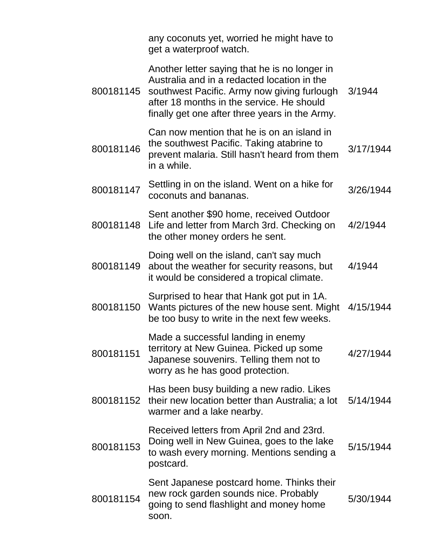|           | any coconuts yet, worried he might have to<br>get a waterproof watch.                                                                                                                                                                      |           |
|-----------|--------------------------------------------------------------------------------------------------------------------------------------------------------------------------------------------------------------------------------------------|-----------|
| 800181145 | Another letter saying that he is no longer in<br>Australia and in a redacted location in the<br>southwest Pacific. Army now giving furlough<br>after 18 months in the service. He should<br>finally get one after three years in the Army. | 3/1944    |
| 800181146 | Can now mention that he is on an island in<br>the southwest Pacific. Taking atabrine to<br>prevent malaria. Still hasn't heard from them<br>in a while.                                                                                    | 3/17/1944 |
| 800181147 | Settling in on the island. Went on a hike for<br>coconuts and bananas.                                                                                                                                                                     | 3/26/1944 |
| 800181148 | Sent another \$90 home, received Outdoor<br>Life and letter from March 3rd. Checking on<br>the other money orders he sent.                                                                                                                 | 4/2/1944  |
| 800181149 | Doing well on the island, can't say much<br>about the weather for security reasons, but<br>it would be considered a tropical climate.                                                                                                      | 4/1944    |
| 800181150 | Surprised to hear that Hank got put in 1A.<br>Wants pictures of the new house sent. Might<br>be too busy to write in the next few weeks.                                                                                                   | 4/15/1944 |
| 800181151 | Made a successful landing in enemy<br>territory at New Guinea. Picked up some<br>Japanese souvenirs. Telling them not to<br>worry as he has good protection.                                                                               | 4/27/1944 |
| 800181152 | Has been busy building a new radio. Likes<br>their new location better than Australia; a lot<br>warmer and a lake nearby.                                                                                                                  | 5/14/1944 |
| 800181153 | Received letters from April 2nd and 23rd.<br>Doing well in New Guinea, goes to the lake<br>to wash every morning. Mentions sending a<br>postcard.                                                                                          | 5/15/1944 |
| 800181154 | Sent Japanese postcard home. Thinks their<br>new rock garden sounds nice. Probably<br>going to send flashlight and money home<br>soon.                                                                                                     | 5/30/1944 |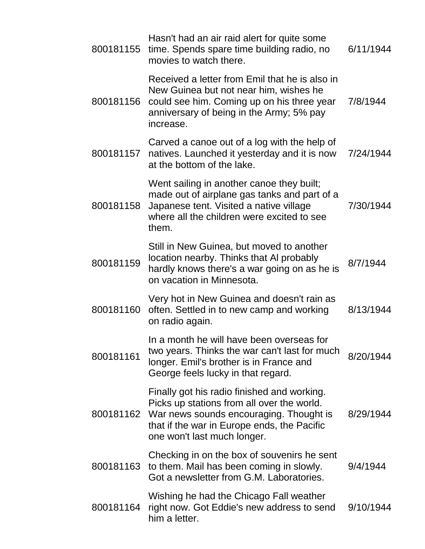| 800181155 | Hasn't had an air raid alert for quite some<br>time. Spends spare time building radio, no<br>movies to watch there.                                                                                                          | 6/11/1944 |
|-----------|------------------------------------------------------------------------------------------------------------------------------------------------------------------------------------------------------------------------------|-----------|
| 800181156 | Received a letter from Emil that he is also in<br>New Guinea but not near him, wishes he<br>could see him. Coming up on his three year<br>anniversary of being in the Army; 5% pay<br>increase.                              | 7/8/1944  |
| 800181157 | Carved a canoe out of a log with the help of<br>natives. Launched it yesterday and it is now<br>at the bottom of the lake.                                                                                                   | 7/24/1944 |
| 800181158 | Went sailing in another canoe they built;<br>made out of airplane gas tanks and part of a<br>Japanese tent. Visited a native village<br>where all the children were excited to see<br>them.                                  | 7/30/1944 |
| 800181159 | Still in New Guinea, but moved to another<br>location nearby. Thinks that AI probably<br>hardly knows there's a war going on as he is<br>on vacation in Minnesota.                                                           | 8/7/1944  |
| 800181160 | Very hot in New Guinea and doesn't rain as<br>often. Settled in to new camp and working<br>on radio again.                                                                                                                   | 8/13/1944 |
| 800181161 | In a month he will have been overseas for<br>two years. Thinks the war can't last for much<br>longer. Emil's brother is in France and<br>George feels lucky in that regard.                                                  | 8/20/1944 |
|           | Finally got his radio finished and working.<br>Picks up stations from all over the world.<br>800181162 War news sounds encouraging. Thought is<br>that if the war in Europe ends, the Pacific<br>one won't last much longer. | 8/29/1944 |
| 800181163 | Checking in on the box of souvenirs he sent<br>to them. Mail has been coming in slowly.<br>Got a newsletter from G.M. Laboratories.                                                                                          | 9/4/1944  |
| 800181164 | Wishing he had the Chicago Fall weather<br>right now. Got Eddie's new address to send<br>him a letter.                                                                                                                       | 9/10/1944 |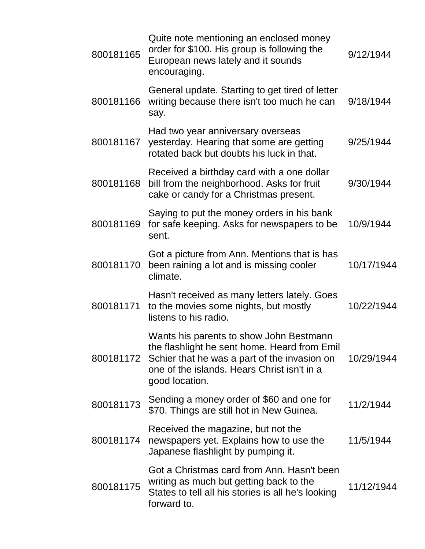| 800181165 | Quite note mentioning an enclosed money<br>order for \$100. His group is following the<br>European news lately and it sounds<br>encouraging.                                                             | 9/12/1944  |
|-----------|----------------------------------------------------------------------------------------------------------------------------------------------------------------------------------------------------------|------------|
| 800181166 | General update. Starting to get tired of letter<br>writing because there isn't too much he can<br>say.                                                                                                   | 9/18/1944  |
| 800181167 | Had two year anniversary overseas<br>yesterday. Hearing that some are getting<br>rotated back but doubts his luck in that.                                                                               | 9/25/1944  |
| 800181168 | Received a birthday card with a one dollar<br>bill from the neighborhood. Asks for fruit<br>cake or candy for a Christmas present.                                                                       | 9/30/1944  |
| 800181169 | Saying to put the money orders in his bank<br>for safe keeping. Asks for newspapers to be<br>sent.                                                                                                       | 10/9/1944  |
| 800181170 | Got a picture from Ann. Mentions that is has<br>been raining a lot and is missing cooler<br>climate.                                                                                                     | 10/17/1944 |
| 800181171 | Hasn't received as many letters lately. Goes<br>to the movies some nights, but mostly<br>listens to his radio.                                                                                           | 10/22/1944 |
| 800181172 | Wants his parents to show John Bestmann<br>the flashlight he sent home. Heard from Emil<br>Schier that he was a part of the invasion on<br>one of the islands. Hears Christ isn't in a<br>good location. | 10/29/1944 |
| 800181173 | Sending a money order of \$60 and one for<br>\$70. Things are still hot in New Guinea.                                                                                                                   | 11/2/1944  |
| 800181174 | Received the magazine, but not the<br>newspapers yet. Explains how to use the<br>Japanese flashlight by pumping it.                                                                                      | 11/5/1944  |
| 800181175 | Got a Christmas card from Ann. Hasn't been<br>writing as much but getting back to the<br>States to tell all his stories is all he's looking<br>forward to.                                               | 11/12/1944 |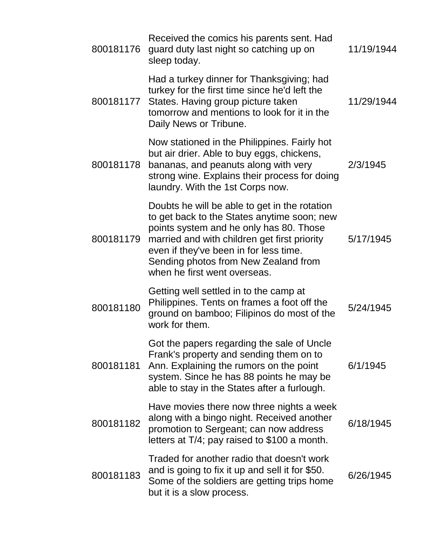| 800181176 | Received the comics his parents sent. Had<br>guard duty last night so catching up on<br>sleep today.                                                                                                                                                                                                      | 11/19/1944 |
|-----------|-----------------------------------------------------------------------------------------------------------------------------------------------------------------------------------------------------------------------------------------------------------------------------------------------------------|------------|
|           | Had a turkey dinner for Thanksgiving; had<br>turkey for the first time since he'd left the<br>800181177 States. Having group picture taken<br>tomorrow and mentions to look for it in the<br>Daily News or Tribune.                                                                                       | 11/29/1944 |
| 800181178 | Now stationed in the Philippines. Fairly hot<br>but air drier. Able to buy eggs, chickens,<br>bananas, and peanuts along with very<br>strong wine. Explains their process for doing<br>laundry. With the 1st Corps now.                                                                                   | 2/3/1945   |
| 800181179 | Doubts he will be able to get in the rotation<br>to get back to the States anytime soon; new<br>points system and he only has 80. Those<br>married and with children get first priority<br>even if they've been in for less time.<br>Sending photos from New Zealand from<br>when he first went overseas. | 5/17/1945  |
| 800181180 | Getting well settled in to the camp at<br>Philippines. Tents on frames a foot off the<br>ground on bamboo; Filipinos do most of the<br>work for them.                                                                                                                                                     | 5/24/1945  |
| 800181181 | Got the papers regarding the sale of Uncle<br>Frank's property and sending them on to<br>Ann. Explaining the rumors on the point<br>system. Since he has 88 points he may be<br>able to stay in the States after a furlough.                                                                              | 6/1/1945   |
| 800181182 | Have movies there now three nights a week<br>along with a bingo night. Received another<br>promotion to Sergeant; can now address<br>letters at T/4; pay raised to \$100 a month.                                                                                                                         | 6/18/1945  |
| 800181183 | Traded for another radio that doesn't work<br>and is going to fix it up and sell it for \$50.<br>Some of the soldiers are getting trips home<br>but it is a slow process.                                                                                                                                 | 6/26/1945  |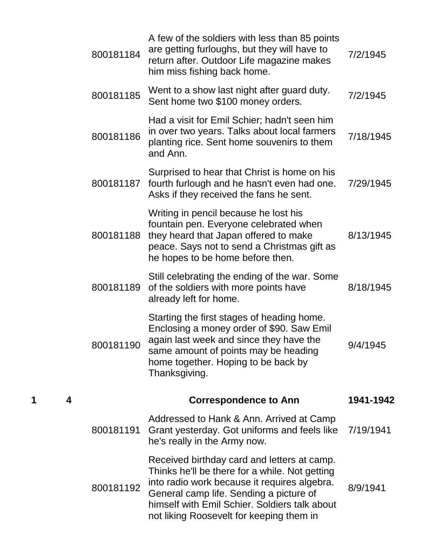|   |   | 800181184 | A few of the soldiers with less than 85 points<br>are getting furloughs, but they will have to<br>return after. Outdoor Life magazine makes<br>him miss fishing back home.                                                                                                            | 7/2/1945  |
|---|---|-----------|---------------------------------------------------------------------------------------------------------------------------------------------------------------------------------------------------------------------------------------------------------------------------------------|-----------|
|   |   | 800181185 | Went to a show last night after guard duty.<br>Sent home two \$100 money orders.                                                                                                                                                                                                      | 7/2/1945  |
|   |   | 800181186 | Had a visit for Emil Schier; hadn't seen him<br>in over two years. Talks about local farmers<br>planting rice. Sent home souvenirs to them<br>and Ann.                                                                                                                                | 7/18/1945 |
|   |   | 800181187 | Surprised to hear that Christ is home on his<br>fourth furlough and he hasn't even had one.<br>Asks if they received the fans he sent.                                                                                                                                                | 7/29/1945 |
|   |   | 800181188 | Writing in pencil because he lost his<br>fountain pen. Everyone celebrated when<br>they heard that Japan offered to make<br>peace. Says not to send a Christmas gift as<br>he hopes to be home before then.                                                                           | 8/13/1945 |
|   |   | 800181189 | Still celebrating the ending of the war. Some<br>of the soldiers with more points have<br>already left for home.                                                                                                                                                                      | 8/18/1945 |
|   |   | 800181190 | Starting the first stages of heading home.<br>Enclosing a money order of \$90. Saw Emil<br>again last week and since they have the<br>same amount of points may be heading<br>home together. Hoping to be back by<br>Thanksgiving.                                                    | 9/4/1945  |
| 1 | 4 |           | <b>Correspondence to Ann</b>                                                                                                                                                                                                                                                          | 1941-1942 |
|   |   | 800181191 | Addressed to Hank & Ann. Arrived at Camp<br>Grant yesterday. Got uniforms and feels like<br>he's really in the Army now.                                                                                                                                                              | 7/19/1941 |
|   |   | 800181192 | Received birthday card and letters at camp.<br>Thinks he'll be there for a while. Not getting<br>into radio work because it requires algebra.<br>General camp life. Sending a picture of<br>himself with Emil Schier. Soldiers talk about<br>not liking Roosevelt for keeping them in | 8/9/1941  |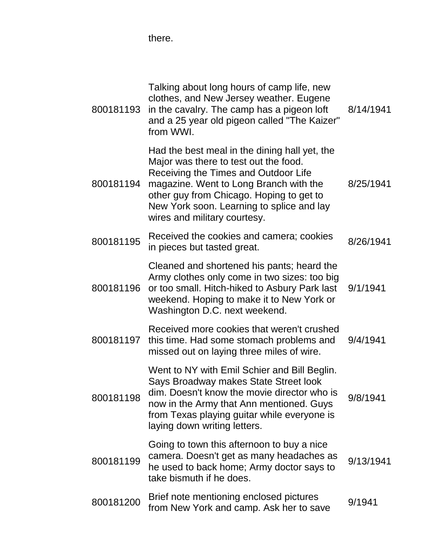there.

| 800181193 | Talking about long hours of camp life, new<br>clothes, and New Jersey weather. Eugene<br>in the cavalry. The camp has a pigeon loft<br>and a 25 year old pigeon called "The Kaizer"<br>from WWI.                                                                                                  | 8/14/1941 |
|-----------|---------------------------------------------------------------------------------------------------------------------------------------------------------------------------------------------------------------------------------------------------------------------------------------------------|-----------|
| 800181194 | Had the best meal in the dining hall yet, the<br>Major was there to test out the food.<br>Receiving the Times and Outdoor Life<br>magazine. Went to Long Branch with the<br>other guy from Chicago. Hoping to get to<br>New York soon. Learning to splice and lay<br>wires and military courtesy. | 8/25/1941 |
| 800181195 | Received the cookies and camera; cookies<br>in pieces but tasted great.                                                                                                                                                                                                                           | 8/26/1941 |
| 800181196 | Cleaned and shortened his pants; heard the<br>Army clothes only come in two sizes: too big<br>or too small. Hitch-hiked to Asbury Park last<br>weekend. Hoping to make it to New York or<br>Washington D.C. next weekend.                                                                         | 9/1/1941  |
| 800181197 | Received more cookies that weren't crushed<br>this time. Had some stomach problems and<br>missed out on laying three miles of wire.                                                                                                                                                               | 9/4/1941  |
| 800181198 | Went to NY with Emil Schier and Bill Beglin.<br>Says Broadway makes State Street look<br>dim. Doesn't know the movie director who is<br>now in the Army that Ann mentioned. Guys<br>from Texas playing guitar while everyone is<br>laying down writing letters.                                   | 9/8/1941  |
| 800181199 | Going to town this afternoon to buy a nice<br>camera. Doesn't get as many headaches as<br>he used to back home; Army doctor says to<br>take bismuth if he does.                                                                                                                                   | 9/13/1941 |
| 800181200 | Brief note mentioning enclosed pictures<br>from New York and camp. Ask her to save                                                                                                                                                                                                                | 9/1941    |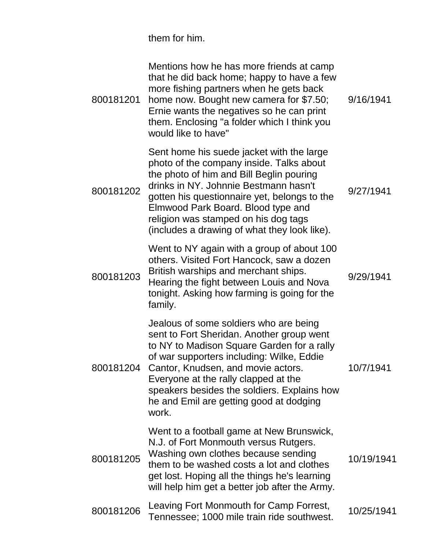them for him.

| 800181201 | Mentions how he has more friends at camp<br>that he did back home; happy to have a few<br>more fishing partners when he gets back<br>home now. Bought new camera for \$7.50;<br>Ernie wants the negatives so he can print<br>them. Enclosing "a folder which I think you<br>would like to have"                                                                 | 9/16/1941  |
|-----------|-----------------------------------------------------------------------------------------------------------------------------------------------------------------------------------------------------------------------------------------------------------------------------------------------------------------------------------------------------------------|------------|
| 800181202 | Sent home his suede jacket with the large<br>photo of the company inside. Talks about<br>the photo of him and Bill Beglin pouring<br>drinks in NY. Johnnie Bestmann hasn't<br>gotten his questionnaire yet, belongs to the<br>Elmwood Park Board. Blood type and<br>religion was stamped on his dog tags<br>(includes a drawing of what they look like).        | 9/27/1941  |
| 800181203 | Went to NY again with a group of about 100<br>others. Visited Fort Hancock, saw a dozen<br>British warships and merchant ships.<br>Hearing the fight between Louis and Nova<br>tonight. Asking how farming is going for the<br>family.                                                                                                                          | 9/29/1941  |
| 800181204 | Jealous of some soldiers who are being<br>sent to Fort Sheridan. Another group went<br>to NY to Madison Square Garden for a rally<br>of war supporters including: Wilke, Eddie<br>Cantor, Knudsen, and movie actors.<br>Everyone at the rally clapped at the<br>speakers besides the soldiers. Explains how<br>he and Emil are getting good at dodging<br>work. | 10/7/1941  |
| 800181205 | Went to a football game at New Brunswick,<br>N.J. of Fort Monmouth versus Rutgers.<br>Washing own clothes because sending<br>them to be washed costs a lot and clothes<br>get lost. Hoping all the things he's learning<br>will help him get a better job after the Army.                                                                                       | 10/19/1941 |
| 800181206 | Leaving Fort Monmouth for Camp Forrest,<br>Tennessee; 1000 mile train ride southwest.                                                                                                                                                                                                                                                                           | 10/25/1941 |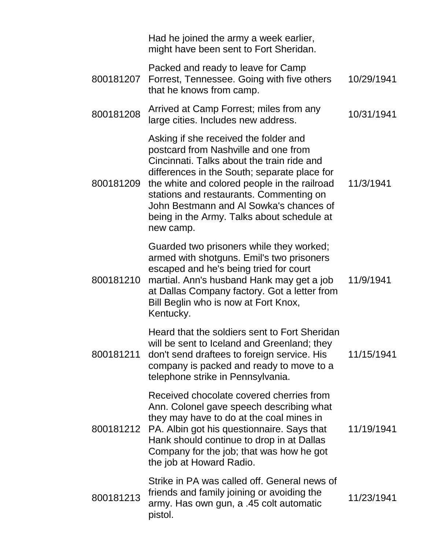|           | Had he joined the army a week earlier,<br>might have been sent to Fort Sheridan.                                                                                                                                                                                                                                                                                             |            |
|-----------|------------------------------------------------------------------------------------------------------------------------------------------------------------------------------------------------------------------------------------------------------------------------------------------------------------------------------------------------------------------------------|------------|
| 800181207 | Packed and ready to leave for Camp<br>Forrest, Tennessee. Going with five others<br>that he knows from camp.                                                                                                                                                                                                                                                                 | 10/29/1941 |
| 800181208 | Arrived at Camp Forrest; miles from any<br>large cities. Includes new address.                                                                                                                                                                                                                                                                                               | 10/31/1941 |
| 800181209 | Asking if she received the folder and<br>postcard from Nashville and one from<br>Cincinnati. Talks about the train ride and<br>differences in the South; separate place for<br>the white and colored people in the railroad<br>stations and restaurants. Commenting on<br>John Bestmann and AI Sowka's chances of<br>being in the Army. Talks about schedule at<br>new camp. | 11/3/1941  |
| 800181210 | Guarded two prisoners while they worked;<br>armed with shotguns. Emil's two prisoners<br>escaped and he's being tried for court<br>martial. Ann's husband Hank may get a job<br>at Dallas Company factory. Got a letter from<br>Bill Beglin who is now at Fort Knox,<br>Kentucky.                                                                                            | 11/9/1941  |
| 800181211 | Heard that the soldiers sent to Fort Sheridan<br>will be sent to Iceland and Greenland; they<br>don't send draftees to foreign service. His<br>company is packed and ready to move to a<br>telephone strike in Pennsylvania.                                                                                                                                                 | 11/15/1941 |
| 800181212 | Received chocolate covered cherries from<br>Ann. Colonel gave speech describing what<br>they may have to do at the coal mines in<br>PA. Albin got his questionnaire. Says that<br>Hank should continue to drop in at Dallas<br>Company for the job; that was how he got<br>the job at Howard Radio.                                                                          | 11/19/1941 |
| 800181213 | Strike in PA was called off. General news of<br>friends and family joining or avoiding the<br>army. Has own gun, a .45 colt automatic<br>pistol.                                                                                                                                                                                                                             | 11/23/1941 |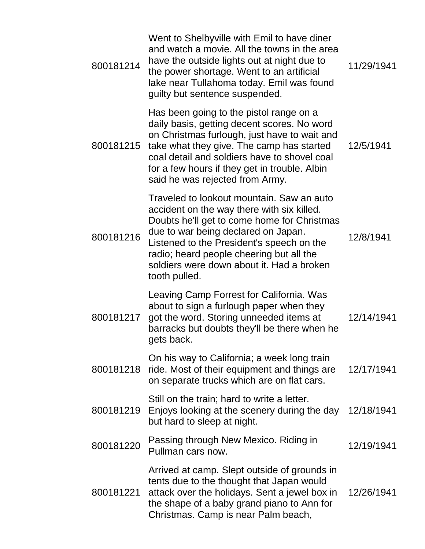| 800181214 | Went to Shelbyville with Emil to have diner<br>and watch a movie. All the towns in the area<br>have the outside lights out at night due to<br>the power shortage. Went to an artificial<br>lake near Tullahoma today. Emil was found<br>guilty but sentence suspended.                                                               | 11/29/1941 |
|-----------|--------------------------------------------------------------------------------------------------------------------------------------------------------------------------------------------------------------------------------------------------------------------------------------------------------------------------------------|------------|
| 800181215 | Has been going to the pistol range on a<br>daily basis, getting decent scores. No word<br>on Christmas furlough, just have to wait and<br>take what they give. The camp has started<br>coal detail and soldiers have to shovel coal<br>for a few hours if they get in trouble. Albin<br>said he was rejected from Army.              | 12/5/1941  |
| 800181216 | Traveled to lookout mountain. Saw an auto<br>accident on the way there with six killed.<br>Doubts he'll get to come home for Christmas<br>due to war being declared on Japan.<br>Listened to the President's speech on the<br>radio; heard people cheering but all the<br>soldiers were down about it. Had a broken<br>tooth pulled. | 12/8/1941  |
| 800181217 | Leaving Camp Forrest for California. Was<br>about to sign a furlough paper when they<br>got the word. Storing unneeded items at<br>barracks but doubts they'll be there when he<br>gets back.                                                                                                                                        | 12/14/1941 |
| 800181218 | On his way to California; a week long train<br>ride. Most of their equipment and things are<br>on separate trucks which are on flat cars.                                                                                                                                                                                            | 12/17/1941 |
| 800181219 | Still on the train; hard to write a letter.<br>Enjoys looking at the scenery during the day<br>but hard to sleep at night.                                                                                                                                                                                                           | 12/18/1941 |
| 800181220 | Passing through New Mexico. Riding in<br>Pullman cars now.                                                                                                                                                                                                                                                                           | 12/19/1941 |
| 800181221 | Arrived at camp. Slept outside of grounds in<br>tents due to the thought that Japan would<br>attack over the holidays. Sent a jewel box in<br>the shape of a baby grand piano to Ann for<br>Christmas. Camp is near Palm beach,                                                                                                      | 12/26/1941 |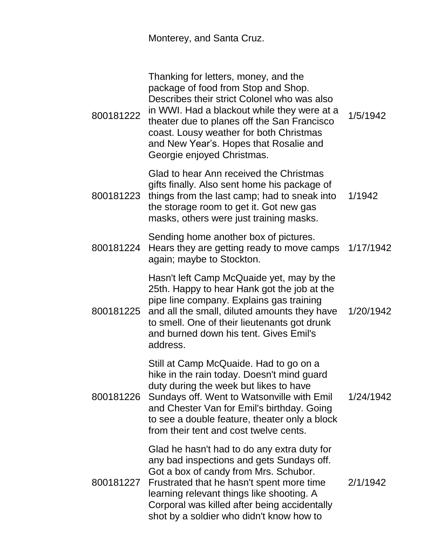Monterey, and Santa Cruz.

| 800181222 | Thanking for letters, money, and the<br>package of food from Stop and Shop.<br>Describes their strict Colonel who was also<br>in WWI. Had a blackout while they were at a<br>theater due to planes off the San Francisco<br>coast. Lousy weather for both Christmas<br>and New Year's. Hopes that Rosalie and<br>Georgie enjoyed Christmas. | 1/5/1942  |
|-----------|---------------------------------------------------------------------------------------------------------------------------------------------------------------------------------------------------------------------------------------------------------------------------------------------------------------------------------------------|-----------|
| 800181223 | Glad to hear Ann received the Christmas<br>gifts finally. Also sent home his package of<br>things from the last camp; had to sneak into<br>the storage room to get it. Got new gas<br>masks, others were just training masks.                                                                                                               | 1/1942    |
| 800181224 | Sending home another box of pictures.<br>Hears they are getting ready to move camps<br>again; maybe to Stockton.                                                                                                                                                                                                                            | 1/17/1942 |
|           | Hasn't left Camp McQuaide yet, may by the<br>25th. Happy to hear Hank got the job at the<br>pipe line company. Explains gas training<br>800181225 and all the small, diluted amounts they have<br>to smell. One of their lieutenants got drunk<br>and burned down his tent. Gives Emil's<br>address.                                        | 1/20/1942 |
| 800181226 | Still at Camp McQuaide. Had to go on a<br>hike in the rain today. Doesn't mind guard<br>duty during the week but likes to have<br>Sundays off. Went to Watsonville with Emil<br>and Chester Van for Emil's birthday. Going<br>to see a double feature, theater only a block<br>from their tent and cost twelve cents.                       | 1/24/1942 |
| 800181227 | Glad he hasn't had to do any extra duty for<br>any bad inspections and gets Sundays off.<br>Got a box of candy from Mrs. Schubor.<br>Frustrated that he hasn't spent more time<br>learning relevant things like shooting. A<br>Corporal was killed after being accidentally<br>shot by a soldier who didn't know how to                     | 2/1/1942  |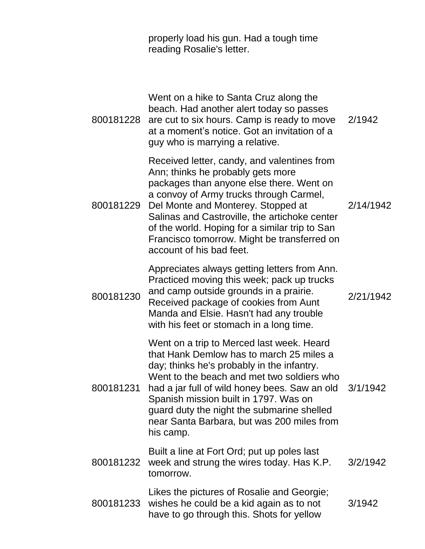| properly load his gun. Had a tough time |
|-----------------------------------------|
| reading Rosalie's letter.               |

| 800181228 | Went on a hike to Santa Cruz along the<br>beach. Had another alert today so passes<br>are cut to six hours. Camp is ready to move<br>at a moment's notice. Got an invitation of a<br>guy who is marrying a relative.                                                                                                                                                                        | 2/1942    |
|-----------|---------------------------------------------------------------------------------------------------------------------------------------------------------------------------------------------------------------------------------------------------------------------------------------------------------------------------------------------------------------------------------------------|-----------|
| 800181229 | Received letter, candy, and valentines from<br>Ann; thinks he probably gets more<br>packages than anyone else there. Went on<br>a convoy of Army trucks through Carmel,<br>Del Monte and Monterey. Stopped at<br>Salinas and Castroville, the artichoke center<br>of the world. Hoping for a similar trip to San<br>Francisco tomorrow. Might be transferred on<br>account of his bad feet. | 2/14/1942 |
| 800181230 | Appreciates always getting letters from Ann.<br>Practiced moving this week; pack up trucks<br>and camp outside grounds in a prairie.<br>Received package of cookies from Aunt<br>Manda and Elsie. Hasn't had any trouble<br>with his feet or stomach in a long time.                                                                                                                        | 2/21/1942 |
| 800181231 | Went on a trip to Merced last week. Heard<br>that Hank Demlow has to march 25 miles a<br>day; thinks he's probably in the infantry.<br>Went to the beach and met two soldiers who<br>had a jar full of wild honey bees. Saw an old<br>Spanish mission built in 1797. Was on<br>guard duty the night the submarine shelled<br>near Santa Barbara, but was 200 miles from<br>his camp.        | 3/1/1942  |
| 800181232 | Built a line at Fort Ord; put up poles last<br>week and strung the wires today. Has K.P.<br>tomorrow.                                                                                                                                                                                                                                                                                       | 3/2/1942  |
|           | Likes the pictures of Rosalie and Georgie;<br>800181233 wishes he could be a kid again as to not<br>have to go through this. Shots for yellow                                                                                                                                                                                                                                               | 3/1942    |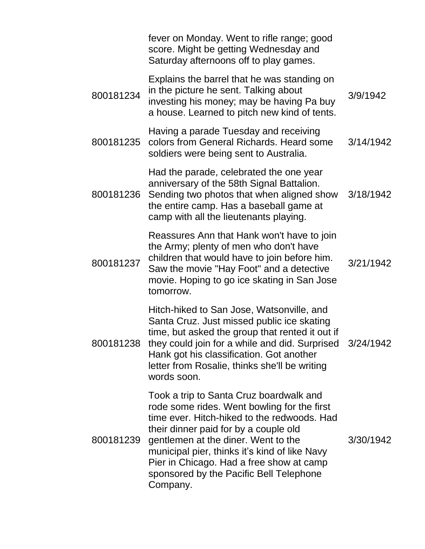|           | fever on Monday. Went to rifle range; good<br>score. Might be getting Wednesday and<br>Saturday afternoons off to play games.                                                                                                                                                                                                                                             |           |
|-----------|---------------------------------------------------------------------------------------------------------------------------------------------------------------------------------------------------------------------------------------------------------------------------------------------------------------------------------------------------------------------------|-----------|
| 800181234 | Explains the barrel that he was standing on<br>in the picture he sent. Talking about<br>investing his money; may be having Pa buy<br>a house. Learned to pitch new kind of tents.                                                                                                                                                                                         | 3/9/1942  |
| 800181235 | Having a parade Tuesday and receiving<br>colors from General Richards. Heard some<br>soldiers were being sent to Australia.                                                                                                                                                                                                                                               | 3/14/1942 |
| 800181236 | Had the parade, celebrated the one year<br>anniversary of the 58th Signal Battalion.<br>Sending two photos that when aligned show<br>the entire camp. Has a baseball game at<br>camp with all the lieutenants playing.                                                                                                                                                    | 3/18/1942 |
| 800181237 | Reassures Ann that Hank won't have to join<br>the Army; plenty of men who don't have<br>children that would have to join before him.<br>Saw the movie "Hay Foot" and a detective<br>movie. Hoping to go ice skating in San Jose<br>tomorrow.                                                                                                                              | 3/21/1942 |
| 800181238 | Hitch-hiked to San Jose, Watsonville, and<br>Santa Cruz. Just missed public ice skating<br>time, but asked the group that rented it out if<br>they could join for a while and did. Surprised 3/24/1942<br>Hank got his classification. Got another<br>letter from Rosalie, thinks she'll be writing<br>words soon.                                                        |           |
| 800181239 | Took a trip to Santa Cruz boardwalk and<br>rode some rides. Went bowling for the first<br>time ever. Hitch-hiked to the redwoods. Had<br>their dinner paid for by a couple old<br>gentlemen at the diner. Went to the<br>municipal pier, thinks it's kind of like Navy<br>Pier in Chicago. Had a free show at camp<br>sponsored by the Pacific Bell Telephone<br>Company. | 3/30/1942 |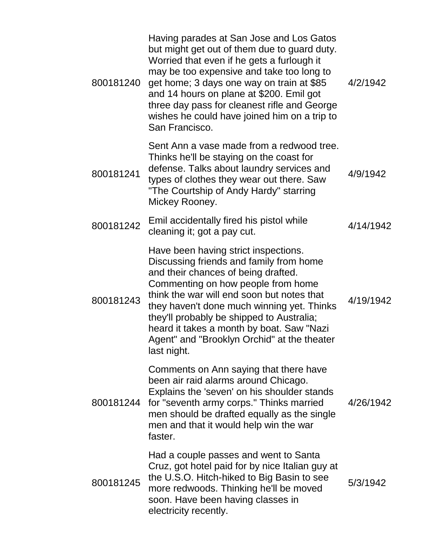| 800181240 | Having parades at San Jose and Los Gatos<br>but might get out of them due to guard duty.<br>Worried that even if he gets a furlough it<br>may be too expensive and take too long to<br>get home; 3 days one way on train at \$85<br>and 14 hours on plane at \$200. Emil got<br>three day pass for cleanest rifle and George<br>wishes he could have joined him on a trip to<br>San Francisco.                   | 4/2/1942  |
|-----------|------------------------------------------------------------------------------------------------------------------------------------------------------------------------------------------------------------------------------------------------------------------------------------------------------------------------------------------------------------------------------------------------------------------|-----------|
| 800181241 | Sent Ann a vase made from a redwood tree.<br>Thinks he'll be staying on the coast for<br>defense. Talks about laundry services and<br>types of clothes they wear out there. Saw<br>"The Courtship of Andy Hardy" starring<br>Mickey Rooney.                                                                                                                                                                      | 4/9/1942  |
| 800181242 | Emil accidentally fired his pistol while<br>cleaning it; got a pay cut.                                                                                                                                                                                                                                                                                                                                          | 4/14/1942 |
| 800181243 | Have been having strict inspections.<br>Discussing friends and family from home<br>and their chances of being drafted.<br>Commenting on how people from home<br>think the war will end soon but notes that<br>they haven't done much winning yet. Thinks<br>they'll probably be shipped to Australia;<br>heard it takes a month by boat. Saw "Nazi<br>Agent" and "Brooklyn Orchid" at the theater<br>last night. | 4/19/1942 |
|           | Comments on Ann saying that there have<br>been air raid alarms around Chicago.<br>Explains the 'seven' on his shoulder stands<br>800181244 for "seventh army corps." Thinks married<br>men should be drafted equally as the single<br>men and that it would help win the war<br>faster.                                                                                                                          | 4/26/1942 |
| 800181245 | Had a couple passes and went to Santa<br>Cruz, got hotel paid for by nice Italian guy at<br>the U.S.O. Hitch-hiked to Big Basin to see<br>more redwoods. Thinking he'll be moved<br>soon. Have been having classes in<br>electricity recently.                                                                                                                                                                   | 5/3/1942  |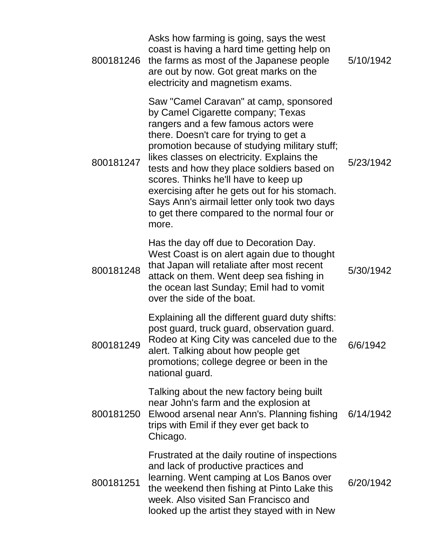|           | Asks how farming is going, says the west<br>coast is having a hard time getting help on<br>800181246 the farms as most of the Japanese people<br>are out by now. Got great marks on the<br>electricity and magnetism exams.                                                                                                                                                                                                                                                                                  | 5/10/1942 |
|-----------|--------------------------------------------------------------------------------------------------------------------------------------------------------------------------------------------------------------------------------------------------------------------------------------------------------------------------------------------------------------------------------------------------------------------------------------------------------------------------------------------------------------|-----------|
| 800181247 | Saw "Camel Caravan" at camp, sponsored<br>by Camel Cigarette company; Texas<br>rangers and a few famous actors were<br>there. Doesn't care for trying to get a<br>promotion because of studying military stuff;<br>likes classes on electricity. Explains the<br>tests and how they place soldiers based on<br>scores. Thinks he'll have to keep up<br>exercising after he gets out for his stomach.<br>Says Ann's airmail letter only took two days<br>to get there compared to the normal four or<br>more. | 5/23/1942 |
| 800181248 | Has the day off due to Decoration Day.<br>West Coast is on alert again due to thought<br>that Japan will retaliate after most recent<br>attack on them. Went deep sea fishing in<br>the ocean last Sunday; Emil had to vomit<br>over the side of the boat.                                                                                                                                                                                                                                                   | 5/30/1942 |
| 800181249 | Explaining all the different guard duty shifts:<br>post guard, truck guard, observation guard.<br>Rodeo at King City was canceled due to the<br>alert. Talking about how people get<br>promotions; college degree or been in the<br>national guard.                                                                                                                                                                                                                                                          | 6/6/1942  |
| 800181250 | Talking about the new factory being built<br>near John's farm and the explosion at<br>Elwood arsenal near Ann's. Planning fishing<br>trips with Emil if they ever get back to<br>Chicago.                                                                                                                                                                                                                                                                                                                    | 6/14/1942 |
| 800181251 | Frustrated at the daily routine of inspections<br>and lack of productive practices and<br>learning. Went camping at Los Banos over<br>the weekend then fishing at Pinto Lake this<br>week. Also visited San Francisco and<br>looked up the artist they stayed with in New                                                                                                                                                                                                                                    | 6/20/1942 |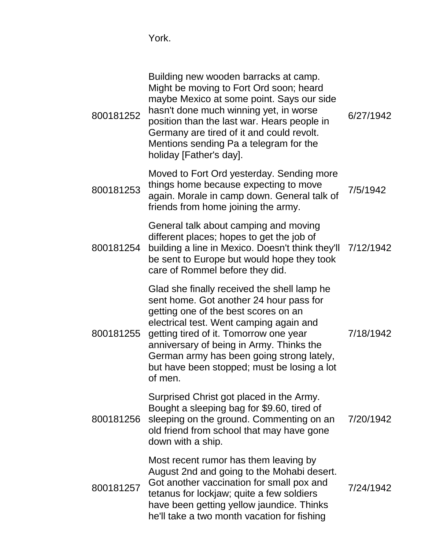York.

| 800181252 | Building new wooden barracks at camp.<br>Might be moving to Fort Ord soon; heard<br>maybe Mexico at some point. Says our side<br>hasn't done much winning yet, in worse<br>position than the last war. Hears people in<br>Germany are tired of it and could revolt.<br>Mentions sending Pa a telegram for the<br>holiday [Father's day].                              | 6/27/1942 |
|-----------|-----------------------------------------------------------------------------------------------------------------------------------------------------------------------------------------------------------------------------------------------------------------------------------------------------------------------------------------------------------------------|-----------|
| 800181253 | Moved to Fort Ord yesterday. Sending more<br>things home because expecting to move<br>again. Morale in camp down. General talk of<br>friends from home joining the army.                                                                                                                                                                                              | 7/5/1942  |
| 800181254 | General talk about camping and moving<br>different places; hopes to get the job of<br>building a line in Mexico. Doesn't think they'll 7/12/1942<br>be sent to Europe but would hope they took<br>care of Rommel before they did.                                                                                                                                     |           |
| 800181255 | Glad she finally received the shell lamp he<br>sent home. Got another 24 hour pass for<br>getting one of the best scores on an<br>electrical test. Went camping again and<br>getting tired of it. Tomorrow one year<br>anniversary of being in Army. Thinks the<br>German army has been going strong lately,<br>but have been stopped; must be losing a lot<br>of men | 7/18/1942 |
| 800181256 | Surprised Christ got placed in the Army.<br>Bought a sleeping bag for \$9.60, tired of<br>sleeping on the ground. Commenting on an<br>old friend from school that may have gone<br>down with a ship.                                                                                                                                                                  | 7/20/1942 |
| 800181257 | Most recent rumor has them leaving by<br>August 2nd and going to the Mohabi desert.<br>Got another vaccination for small pox and<br>tetanus for lockjaw; quite a few soldiers<br>have been getting yellow jaundice. Thinks<br>he'll take a two month vacation for fishing                                                                                             | 7/24/1942 |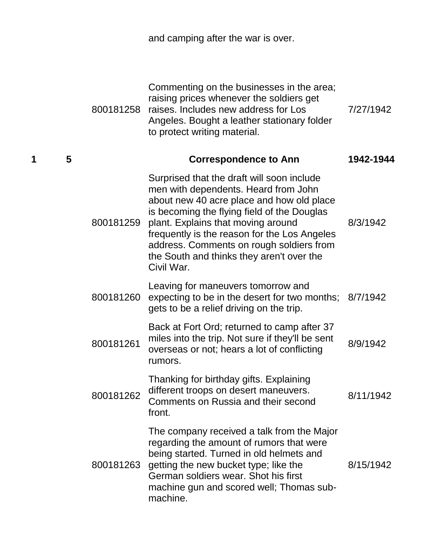|   |   |           | and camping after the war is over.                                                                                                                                                                                                                                                                                                                                          |           |
|---|---|-----------|-----------------------------------------------------------------------------------------------------------------------------------------------------------------------------------------------------------------------------------------------------------------------------------------------------------------------------------------------------------------------------|-----------|
|   |   | 800181258 | Commenting on the businesses in the area;<br>raising prices whenever the soldiers get<br>raises. Includes new address for Los<br>Angeles. Bought a leather stationary folder<br>to protect writing material.                                                                                                                                                                | 7/27/1942 |
| 1 | 5 |           | <b>Correspondence to Ann</b>                                                                                                                                                                                                                                                                                                                                                | 1942-1944 |
|   |   | 800181259 | Surprised that the draft will soon include<br>men with dependents. Heard from John<br>about new 40 acre place and how old place<br>is becoming the flying field of the Douglas<br>plant. Explains that moving around<br>frequently is the reason for the Los Angeles<br>address. Comments on rough soldiers from<br>the South and thinks they aren't over the<br>Civil War. | 8/3/1942  |
|   |   | 800181260 | Leaving for maneuvers tomorrow and<br>expecting to be in the desert for two months; 8/7/1942<br>gets to be a relief driving on the trip.                                                                                                                                                                                                                                    |           |
|   |   | 800181261 | Back at Fort Ord; returned to camp after 37<br>miles into the trip. Not sure if they'll be sent<br>overseas or not; hears a lot of conflicting<br>rumors.                                                                                                                                                                                                                   | 8/9/1942  |
|   |   | 800181262 | Thanking for birthday gifts. Explaining<br>different troops on desert maneuvers.<br>Comments on Russia and their second<br>front.                                                                                                                                                                                                                                           | 8/11/1942 |
|   |   | 800181263 | The company received a talk from the Major<br>regarding the amount of rumors that were<br>being started. Turned in old helmets and<br>getting the new bucket type; like the<br>German soldiers wear. Shot his first<br>machine gun and scored well; Thomas sub-<br>machine.                                                                                                 | 8/15/1942 |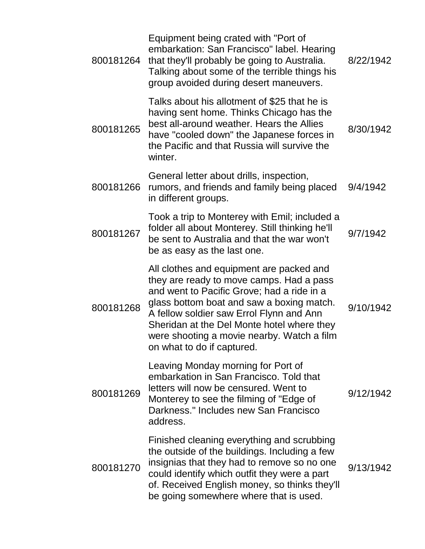| 800181264 | Equipment being crated with "Port of<br>embarkation: San Francisco" label. Hearing<br>that they'll probably be going to Australia.<br>Talking about some of the terrible things his<br>group avoided during desert maneuvers.                                                                                                                         | 8/22/1942 |
|-----------|-------------------------------------------------------------------------------------------------------------------------------------------------------------------------------------------------------------------------------------------------------------------------------------------------------------------------------------------------------|-----------|
| 800181265 | Talks about his allotment of \$25 that he is<br>having sent home. Thinks Chicago has the<br>best all-around weather. Hears the Allies<br>have "cooled down" the Japanese forces in<br>the Pacific and that Russia will survive the<br>winter.                                                                                                         | 8/30/1942 |
| 800181266 | General letter about drills, inspection,<br>rumors, and friends and family being placed<br>in different groups.                                                                                                                                                                                                                                       | 9/4/1942  |
| 800181267 | Took a trip to Monterey with Emil; included a<br>folder all about Monterey. Still thinking he'll<br>be sent to Australia and that the war won't<br>be as easy as the last one.                                                                                                                                                                        | 9/7/1942  |
| 800181268 | All clothes and equipment are packed and<br>they are ready to move camps. Had a pass<br>and went to Pacific Grove; had a ride in a<br>glass bottom boat and saw a boxing match.<br>A fellow soldier saw Errol Flynn and Ann<br>Sheridan at the Del Monte hotel where they<br>were shooting a movie nearby. Watch a film<br>on what to do if captured. | 9/10/1942 |
| 800181269 | Leaving Monday morning for Port of<br>embarkation in San Francisco. Told that<br>letters will now be censured. Went to<br>Monterey to see the filming of "Edge of<br>Darkness." Includes new San Francisco<br>address.                                                                                                                                | 9/12/1942 |
| 800181270 | Finished cleaning everything and scrubbing<br>the outside of the buildings. Including a few<br>insignias that they had to remove so no one<br>could identify which outfit they were a part<br>of. Received English money, so thinks they'll<br>be going somewhere where that is used.                                                                 | 9/13/1942 |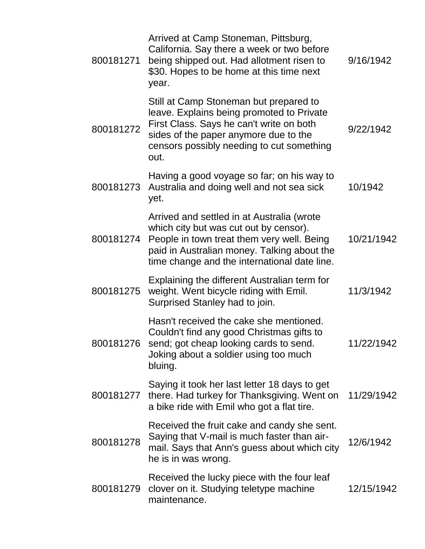| 800181271 | Arrived at Camp Stoneman, Pittsburg,<br>California. Say there a week or two before<br>being shipped out. Had allotment risen to<br>\$30. Hopes to be home at this time next<br>year.                                              | 9/16/1942  |
|-----------|-----------------------------------------------------------------------------------------------------------------------------------------------------------------------------------------------------------------------------------|------------|
| 800181272 | Still at Camp Stoneman but prepared to<br>leave. Explains being promoted to Private<br>First Class. Says he can't write on both<br>sides of the paper anymore due to the<br>censors possibly needing to cut something<br>out.     | 9/22/1942  |
| 800181273 | Having a good voyage so far; on his way to<br>Australia and doing well and not sea sick<br>yet.                                                                                                                                   | 10/1942    |
| 800181274 | Arrived and settled in at Australia (wrote<br>which city but was cut out by censor).<br>People in town treat them very well. Being<br>paid in Australian money. Talking about the<br>time change and the international date line. | 10/21/1942 |
| 800181275 | Explaining the different Australian term for<br>weight. Went bicycle riding with Emil.<br>Surprised Stanley had to join.                                                                                                          | 11/3/1942  |
| 800181276 | Hasn't received the cake she mentioned.<br>Couldn't find any good Christmas gifts to<br>send; got cheap looking cards to send.<br>Joking about a soldier using too much<br>bluing.                                                | 11/22/1942 |
| 800181277 | Saying it took her last letter 18 days to get<br>there. Had turkey for Thanksgiving. Went on<br>a bike ride with Emil who got a flat tire.                                                                                        | 11/29/1942 |
| 800181278 | Received the fruit cake and candy she sent.<br>Saying that V-mail is much faster than air-<br>mail. Says that Ann's guess about which city<br>he is in was wrong.                                                                 | 12/6/1942  |
| 800181279 | Received the lucky piece with the four leaf<br>clover on it. Studying teletype machine<br>maintenance.                                                                                                                            | 12/15/1942 |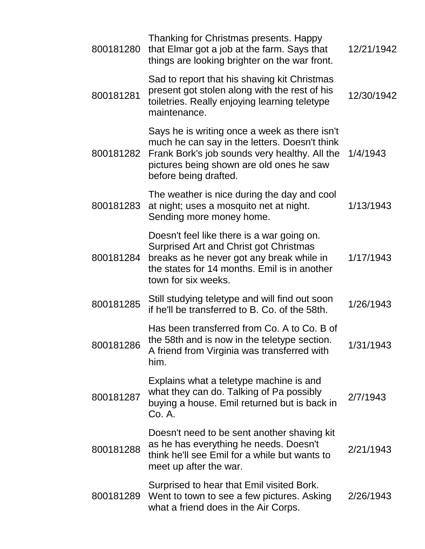| 800181280 | Thanking for Christmas presents. Happy<br>that Elmar got a job at the farm. Says that<br>things are looking brighter on the war front.                                                                               | 12/21/1942 |
|-----------|----------------------------------------------------------------------------------------------------------------------------------------------------------------------------------------------------------------------|------------|
| 800181281 | Sad to report that his shaving kit Christmas<br>present got stolen along with the rest of his<br>toiletries. Really enjoying learning teletype<br>maintenance.                                                       | 12/30/1942 |
| 800181282 | Says he is writing once a week as there isn't<br>much he can say in the letters. Doesn't think<br>Frank Bork's job sounds very healthy. All the<br>pictures being shown are old ones he saw<br>before being drafted. | 1/4/1943   |
| 800181283 | The weather is nice during the day and cool<br>at night; uses a mosquito net at night.<br>Sending more money home.                                                                                                   | 1/13/1943  |
| 800181284 | Doesn't feel like there is a war going on.<br>Surprised Art and Christ got Christmas<br>breaks as he never got any break while in<br>the states for 14 months. Emil is in another<br>town for six weeks.             | 1/17/1943  |
| 800181285 | Still studying teletype and will find out soon<br>if he'll be transferred to B. Co. of the 58th.                                                                                                                     | 1/26/1943  |
| 800181286 | Has been transferred from Co. A to Co. B of<br>the 58th and is now in the teletype section.<br>A friend from Virginia was transferred with<br>him.                                                                   | 1/31/1943  |
| 800181287 | Explains what a teletype machine is and<br>what they can do. Talking of Pa possibly<br>buying a house. Emil returned but is back in<br>Co. A.                                                                        | 2/7/1943   |
| 800181288 | Doesn't need to be sent another shaving kit<br>as he has everything he needs. Doesn't<br>think he'll see Emil for a while but wants to<br>meet up after the war.                                                     | 2/21/1943  |
| 800181289 | Surprised to hear that Emil visited Bork.<br>Went to town to see a few pictures. Asking<br>what a friend does in the Air Corps.                                                                                      | 2/26/1943  |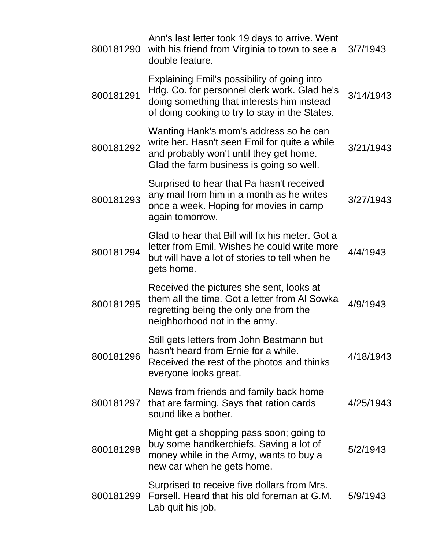| 800181290 | Ann's last letter took 19 days to arrive. Went<br>with his friend from Virginia to town to see a<br>double feature.                                                                         | 3/7/1943  |
|-----------|---------------------------------------------------------------------------------------------------------------------------------------------------------------------------------------------|-----------|
| 800181291 | Explaining Emil's possibility of going into<br>Hdg. Co. for personnel clerk work. Glad he's<br>doing something that interests him instead<br>of doing cooking to try to stay in the States. | 3/14/1943 |
| 800181292 | Wanting Hank's mom's address so he can<br>write her. Hasn't seen Emil for quite a while<br>and probably won't until they get home.<br>Glad the farm business is going so well.              | 3/21/1943 |
| 800181293 | Surprised to hear that Pa hasn't received<br>any mail from him in a month as he writes<br>once a week. Hoping for movies in camp<br>again tomorrow.                                         | 3/27/1943 |
| 800181294 | Glad to hear that Bill will fix his meter. Got a<br>letter from Emil. Wishes he could write more<br>but will have a lot of stories to tell when he<br>gets home.                            | 4/4/1943  |
| 800181295 | Received the pictures she sent, looks at<br>them all the time. Got a letter from AI Sowka<br>regretting being the only one from the<br>neighborhood not in the army.                        | 4/9/1943  |
| 800181296 | Still gets letters from John Bestmann but<br>hasn't heard from Ernie for a while.<br>Received the rest of the photos and thinks<br>everyone looks great.                                    | 4/18/1943 |
| 800181297 | News from friends and family back home<br>that are farming. Says that ration cards<br>sound like a bother.                                                                                  | 4/25/1943 |
| 800181298 | Might get a shopping pass soon; going to<br>buy some handkerchiefs. Saving a lot of<br>money while in the Army, wants to buy a<br>new car when he gets home.                                | 5/2/1943  |
| 800181299 | Surprised to receive five dollars from Mrs.<br>Forsell. Heard that his old foreman at G.M.<br>Lab quit his job.                                                                             | 5/9/1943  |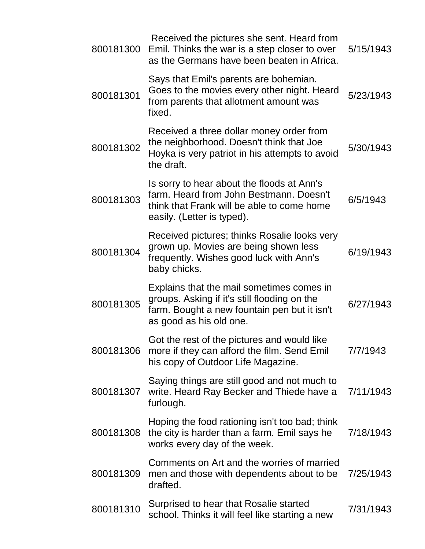| 800181300 | Received the pictures she sent. Heard from<br>Emil. Thinks the war is a step closer to over<br>as the Germans have been beaten in Africa.                            | 5/15/1943 |
|-----------|----------------------------------------------------------------------------------------------------------------------------------------------------------------------|-----------|
| 800181301 | Says that Emil's parents are bohemian.<br>Goes to the movies every other night. Heard<br>from parents that allotment amount was<br>fixed.                            | 5/23/1943 |
| 800181302 | Received a three dollar money order from<br>the neighborhood. Doesn't think that Joe<br>Hoyka is very patriot in his attempts to avoid<br>the draft.                 | 5/30/1943 |
| 800181303 | Is sorry to hear about the floods at Ann's<br>farm. Heard from John Bestmann. Doesn't<br>think that Frank will be able to come home<br>easily. (Letter is typed).    | 6/5/1943  |
| 800181304 | Received pictures; thinks Rosalie looks very<br>grown up. Movies are being shown less<br>frequently. Wishes good luck with Ann's<br>baby chicks.                     | 6/19/1943 |
| 800181305 | Explains that the mail sometimes comes in<br>groups. Asking if it's still flooding on the<br>farm. Bought a new fountain pen but it isn't<br>as good as his old one. | 6/27/1943 |
|           | Got the rest of the pictures and would like<br>800181306 more if they can afford the film. Send Emil<br>his copy of Outdoor Life Magazine.                           | 7/7/1943  |
| 800181307 | Saying things are still good and not much to<br>write. Heard Ray Becker and Thiede have a<br>furlough.                                                               | 7/11/1943 |
| 800181308 | Hoping the food rationing isn't too bad; think<br>the city is harder than a farm. Emil says he<br>works every day of the week.                                       | 7/18/1943 |
| 800181309 | Comments on Art and the worries of married<br>men and those with dependents about to be<br>drafted.                                                                  | 7/25/1943 |
| 800181310 | Surprised to hear that Rosalie started<br>school. Thinks it will feel like starting a new                                                                            | 7/31/1943 |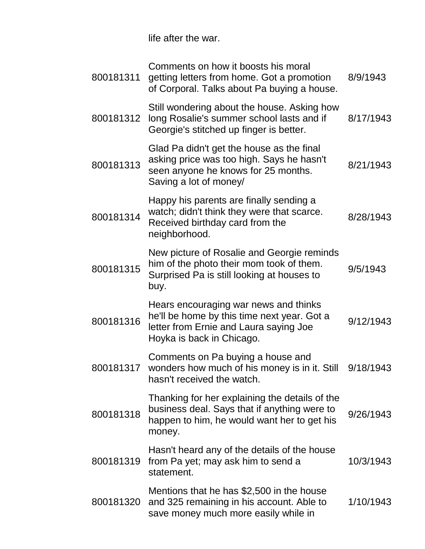life after the war.

| 800181311 | Comments on how it boosts his moral<br>getting letters from home. Got a promotion<br>of Corporal. Talks about Pa buying a house.                            | 8/9/1943  |
|-----------|-------------------------------------------------------------------------------------------------------------------------------------------------------------|-----------|
| 800181312 | Still wondering about the house. Asking how<br>long Rosalie's summer school lasts and if<br>Georgie's stitched up finger is better.                         | 8/17/1943 |
| 800181313 | Glad Pa didn't get the house as the final<br>asking price was too high. Says he hasn't<br>seen anyone he knows for 25 months.<br>Saving a lot of money/     | 8/21/1943 |
| 800181314 | Happy his parents are finally sending a<br>watch; didn't think they were that scarce.<br>Received birthday card from the<br>neighborhood.                   | 8/28/1943 |
| 800181315 | New picture of Rosalie and Georgie reminds<br>him of the photo their mom took of them.<br>Surprised Pa is still looking at houses to<br>buy.                | 9/5/1943  |
| 800181316 | Hears encouraging war news and thinks<br>he'll be home by this time next year. Got a<br>letter from Ernie and Laura saying Joe<br>Hoyka is back in Chicago. | 9/12/1943 |
| 800181317 | Comments on Pa buying a house and<br>wonders how much of his money is in it. Still<br>hasn't received the watch.                                            | 9/18/1943 |
| 800181318 | Thanking for her explaining the details of the<br>business deal. Says that if anything were to<br>happen to him, he would want her to get his<br>money.     | 9/26/1943 |
| 800181319 | Hasn't heard any of the details of the house<br>from Pa yet; may ask him to send a<br>statement.                                                            | 10/3/1943 |
| 800181320 | Mentions that he has \$2,500 in the house<br>and 325 remaining in his account. Able to<br>save money much more easily while in                              | 1/10/1943 |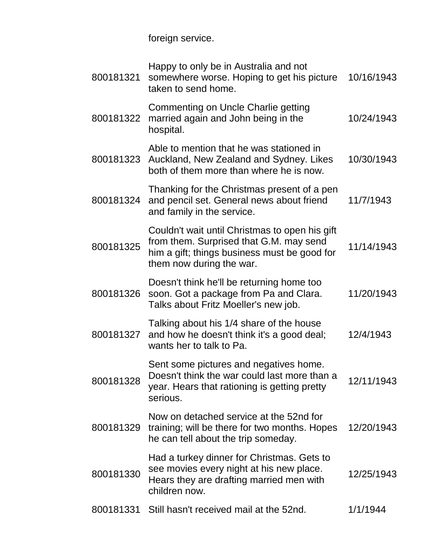foreign service.

| Commenting on Uncle Charlie getting<br>married again and John being in the<br>800181322<br>hospital.<br>Able to mention that he was stationed in<br>800181323<br>Auckland, New Zealand and Sydney. Likes<br>both of them more than where he is now.<br>Thanking for the Christmas present of a pen<br>800181324<br>and pencil set. General news about friend<br>and family in the service.<br>Couldn't wait until Christmas to open his gift<br>from them. Surprised that G.M. may send<br>800181325<br>him a gift; things business must be good for<br>them now during the war.<br>Doesn't think he'll be returning home too<br>soon. Got a package from Pa and Clara.<br>800181326<br>Talks about Fritz Moeller's new job.<br>Talking about his 1/4 share of the house<br>800181327<br>and how he doesn't think it's a good deal;<br>wants her to talk to Pa.<br>Sent some pictures and negatives home.<br>Doesn't think the war could last more than a<br>800181328<br>year. Hears that rationing is getting pretty<br>serious.<br>Now on detached service at the 52nd for<br>800181329<br>training; will be there for two months. Hopes<br>he can tell about the trip someday.<br>Had a turkey dinner for Christmas. Gets to<br>see movies every night at his new place.<br>800181330<br>Hears they are drafting married men with<br>children now. | 800181321 | Happy to only be in Australia and not<br>somewhere worse. Hoping to get his picture<br>taken to send home. | 10/16/1943 |
|--------------------------------------------------------------------------------------------------------------------------------------------------------------------------------------------------------------------------------------------------------------------------------------------------------------------------------------------------------------------------------------------------------------------------------------------------------------------------------------------------------------------------------------------------------------------------------------------------------------------------------------------------------------------------------------------------------------------------------------------------------------------------------------------------------------------------------------------------------------------------------------------------------------------------------------------------------------------------------------------------------------------------------------------------------------------------------------------------------------------------------------------------------------------------------------------------------------------------------------------------------------------------------------------------------------------------------------------------------|-----------|------------------------------------------------------------------------------------------------------------|------------|
|                                                                                                                                                                                                                                                                                                                                                                                                                                                                                                                                                                                                                                                                                                                                                                                                                                                                                                                                                                                                                                                                                                                                                                                                                                                                                                                                                        |           |                                                                                                            | 10/24/1943 |
|                                                                                                                                                                                                                                                                                                                                                                                                                                                                                                                                                                                                                                                                                                                                                                                                                                                                                                                                                                                                                                                                                                                                                                                                                                                                                                                                                        |           |                                                                                                            | 10/30/1943 |
|                                                                                                                                                                                                                                                                                                                                                                                                                                                                                                                                                                                                                                                                                                                                                                                                                                                                                                                                                                                                                                                                                                                                                                                                                                                                                                                                                        |           |                                                                                                            | 11/7/1943  |
|                                                                                                                                                                                                                                                                                                                                                                                                                                                                                                                                                                                                                                                                                                                                                                                                                                                                                                                                                                                                                                                                                                                                                                                                                                                                                                                                                        |           |                                                                                                            | 11/14/1943 |
|                                                                                                                                                                                                                                                                                                                                                                                                                                                                                                                                                                                                                                                                                                                                                                                                                                                                                                                                                                                                                                                                                                                                                                                                                                                                                                                                                        |           |                                                                                                            | 11/20/1943 |
|                                                                                                                                                                                                                                                                                                                                                                                                                                                                                                                                                                                                                                                                                                                                                                                                                                                                                                                                                                                                                                                                                                                                                                                                                                                                                                                                                        |           |                                                                                                            | 12/4/1943  |
|                                                                                                                                                                                                                                                                                                                                                                                                                                                                                                                                                                                                                                                                                                                                                                                                                                                                                                                                                                                                                                                                                                                                                                                                                                                                                                                                                        |           |                                                                                                            | 12/11/1943 |
|                                                                                                                                                                                                                                                                                                                                                                                                                                                                                                                                                                                                                                                                                                                                                                                                                                                                                                                                                                                                                                                                                                                                                                                                                                                                                                                                                        |           |                                                                                                            | 12/20/1943 |
|                                                                                                                                                                                                                                                                                                                                                                                                                                                                                                                                                                                                                                                                                                                                                                                                                                                                                                                                                                                                                                                                                                                                                                                                                                                                                                                                                        |           |                                                                                                            | 12/25/1943 |
| 800181331<br>Still hasn't received mail at the 52nd.<br>1/1/1944                                                                                                                                                                                                                                                                                                                                                                                                                                                                                                                                                                                                                                                                                                                                                                                                                                                                                                                                                                                                                                                                                                                                                                                                                                                                                       |           |                                                                                                            |            |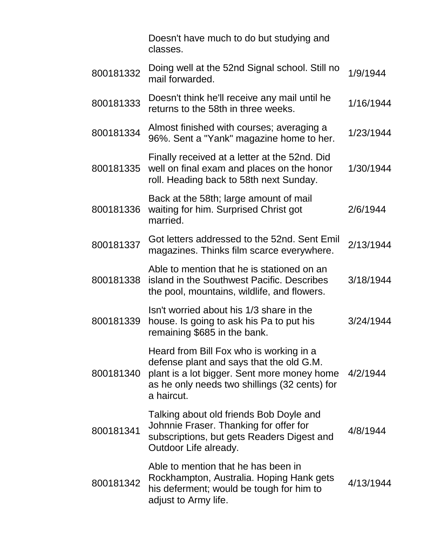Doesn't have much to do but studying and classes.

| 800181332 | Doing well at the 52nd Signal school. Still no<br>mail forwarded.                                                                                                                                 | 1/9/1944  |
|-----------|---------------------------------------------------------------------------------------------------------------------------------------------------------------------------------------------------|-----------|
| 800181333 | Doesn't think he'll receive any mail until he<br>returns to the 58th in three weeks.                                                                                                              | 1/16/1944 |
| 800181334 | Almost finished with courses; averaging a<br>96%. Sent a "Yank" magazine home to her.                                                                                                             | 1/23/1944 |
| 800181335 | Finally received at a letter at the 52nd. Did<br>well on final exam and places on the honor<br>roll. Heading back to 58th next Sunday.                                                            | 1/30/1944 |
| 800181336 | Back at the 58th; large amount of mail<br>waiting for him. Surprised Christ got<br>married.                                                                                                       | 2/6/1944  |
| 800181337 | Got letters addressed to the 52nd. Sent Emil<br>magazines. Thinks film scarce everywhere.                                                                                                         | 2/13/1944 |
| 800181338 | Able to mention that he is stationed on an<br>island in the Southwest Pacific. Describes<br>the pool, mountains, wildlife, and flowers.                                                           | 3/18/1944 |
| 800181339 | Isn't worried about his 1/3 share in the<br>house. Is going to ask his Pa to put his<br>remaining \$685 in the bank.                                                                              | 3/24/1944 |
| 800181340 | Heard from Bill Fox who is working in a<br>defense plant and says that the old G.M.<br>plant is a lot bigger. Sent more money home<br>as he only needs two shillings (32 cents) for<br>a haircut. | 4/2/1944  |
| 800181341 | Talking about old friends Bob Doyle and<br>Johnnie Fraser. Thanking for offer for<br>subscriptions, but gets Readers Digest and<br>Outdoor Life already.                                          | 4/8/1944  |
| 800181342 | Able to mention that he has been in<br>Rockhampton, Australia. Hoping Hank gets<br>his deferment; would be tough for him to<br>adjust to Army life.                                               | 4/13/1944 |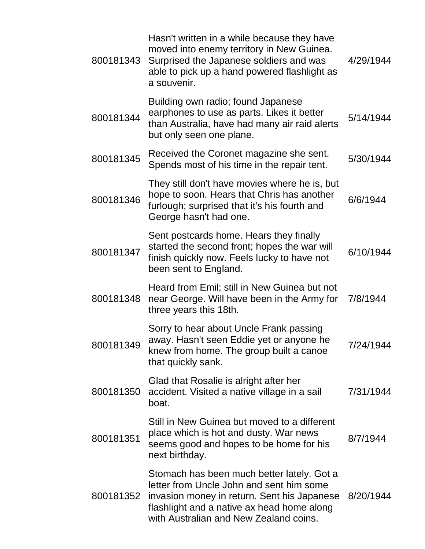| 800181343 | Hasn't written in a while because they have<br>moved into enemy territory in New Guinea.<br>Surprised the Japanese soldiers and was<br>able to pick up a hand powered flashlight as<br>a souvenir.                            | 4/29/1944 |
|-----------|-------------------------------------------------------------------------------------------------------------------------------------------------------------------------------------------------------------------------------|-----------|
| 800181344 | Building own radio; found Japanese<br>earphones to use as parts. Likes it better<br>than Australia, have had many air raid alerts<br>but only seen one plane.                                                                 | 5/14/1944 |
| 800181345 | Received the Coronet magazine she sent.<br>Spends most of his time in the repair tent.                                                                                                                                        | 5/30/1944 |
| 800181346 | They still don't have movies where he is, but<br>hope to soon. Hears that Chris has another<br>furlough; surprised that it's his fourth and<br>George hasn't had one.                                                         | 6/6/1944  |
| 800181347 | Sent postcards home. Hears they finally<br>started the second front; hopes the war will<br>finish quickly now. Feels lucky to have not<br>been sent to England.                                                               | 6/10/1944 |
| 800181348 | Heard from Emil; still in New Guinea but not<br>near George. Will have been in the Army for<br>three years this 18th.                                                                                                         | 7/8/1944  |
| 800181349 | Sorry to hear about Uncle Frank passing<br>away. Hasn't seen Eddie yet or anyone he<br>knew from home. The group built a canoe<br>that quickly sank.                                                                          | 7/24/1944 |
| 800181350 | Glad that Rosalie is alright after her<br>accident. Visited a native village in a sail<br>boat.                                                                                                                               | 7/31/1944 |
| 800181351 | Still in New Guinea but moved to a different<br>place which is hot and dusty. War news<br>seems good and hopes to be home for his<br>next birthday.                                                                           | 8/7/1944  |
| 800181352 | Stomach has been much better lately. Got a<br>letter from Uncle John and sent him some<br>invasion money in return. Sent his Japanese<br>flashlight and a native ax head home along<br>with Australian and New Zealand coins. | 8/20/1944 |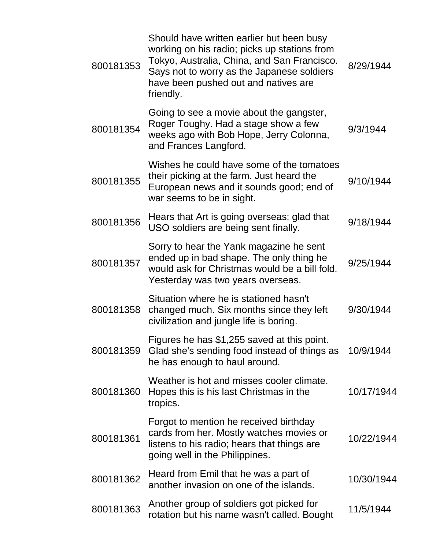| 800181353 | Should have written earlier but been busy<br>working on his radio; picks up stations from<br>Tokyo, Australia, China, and San Francisco.<br>Says not to worry as the Japanese soldiers<br>have been pushed out and natives are<br>friendly. | 8/29/1944  |
|-----------|---------------------------------------------------------------------------------------------------------------------------------------------------------------------------------------------------------------------------------------------|------------|
| 800181354 | Going to see a movie about the gangster,<br>Roger Toughy. Had a stage show a few<br>weeks ago with Bob Hope, Jerry Colonna,<br>and Frances Langford.                                                                                        | 9/3/1944   |
| 800181355 | Wishes he could have some of the tomatoes<br>their picking at the farm. Just heard the<br>European news and it sounds good; end of<br>war seems to be in sight.                                                                             | 9/10/1944  |
| 800181356 | Hears that Art is going overseas; glad that<br>USO soldiers are being sent finally.                                                                                                                                                         | 9/18/1944  |
| 800181357 | Sorry to hear the Yank magazine he sent<br>ended up in bad shape. The only thing he<br>would ask for Christmas would be a bill fold.<br>Yesterday was two years overseas.                                                                   | 9/25/1944  |
| 800181358 | Situation where he is stationed hasn't<br>changed much. Six months since they left<br>civilization and jungle life is boring.                                                                                                               | 9/30/1944  |
| 800181359 | Figures he has \$1,255 saved at this point.<br>Glad she's sending food instead of things as<br>he has enough to haul around.                                                                                                                | 10/9/1944  |
| 800181360 | Weather is hot and misses cooler climate.<br>Hopes this is his last Christmas in the<br>tropics.                                                                                                                                            | 10/17/1944 |
| 800181361 | Forgot to mention he received birthday<br>cards from her. Mostly watches movies or<br>listens to his radio; hears that things are<br>going well in the Philippines.                                                                         | 10/22/1944 |
| 800181362 | Heard from Emil that he was a part of<br>another invasion on one of the islands.                                                                                                                                                            | 10/30/1944 |
| 800181363 | Another group of soldiers got picked for<br>rotation but his name wasn't called. Bought                                                                                                                                                     | 11/5/1944  |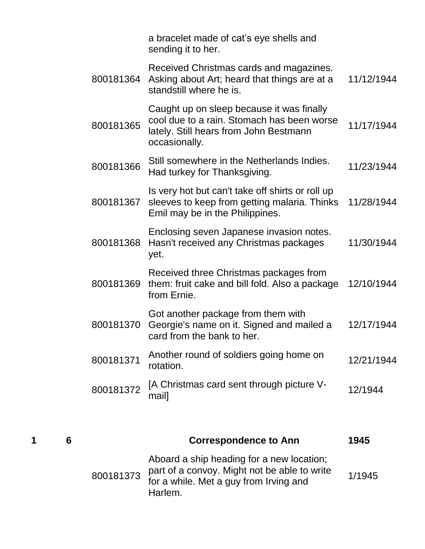|           | a bracelet made of cat's eye shells and<br>sending it to her.                                                                                      |            |
|-----------|----------------------------------------------------------------------------------------------------------------------------------------------------|------------|
| 800181364 | Received Christmas cards and magazines.<br>Asking about Art; heard that things are at a<br>standstill where he is.                                 | 11/12/1944 |
| 800181365 | Caught up on sleep because it was finally<br>cool due to a rain. Stomach has been worse<br>lately. Still hears from John Bestmann<br>occasionally. | 11/17/1944 |
| 800181366 | Still somewhere in the Netherlands Indies.<br>Had turkey for Thanksgiving.                                                                         | 11/23/1944 |
| 800181367 | Is very hot but can't take off shirts or roll up<br>sleeves to keep from getting malaria. Thinks<br>Emil may be in the Philippines.                | 11/28/1944 |
| 800181368 | Enclosing seven Japanese invasion notes.<br>Hasn't received any Christmas packages<br>yet.                                                         | 11/30/1944 |
| 800181369 | Received three Christmas packages from<br>them: fruit cake and bill fold. Also a package<br>from Ernie.                                            | 12/10/1944 |
| 800181370 | Got another package from them with<br>Georgie's name on it. Signed and mailed a<br>card from the bank to her.                                      | 12/17/1944 |
| 800181371 | Another round of soldiers going home on<br>rotation.                                                                                               | 12/21/1944 |
| 800181372 | [A Christmas card sent through picture V-<br>mail]                                                                                                 | 12/1944    |
|           |                                                                                                                                                    |            |

|  | <b>Correspondence to Ann</b>                                                                                                                             | 1945   |
|--|----------------------------------------------------------------------------------------------------------------------------------------------------------|--------|
|  | Aboard a ship heading for a new location;<br>800181373 part of a convoy. Might not be able to write<br>for a while. Met a guy from Irving and<br>Harlem. | 1/1945 |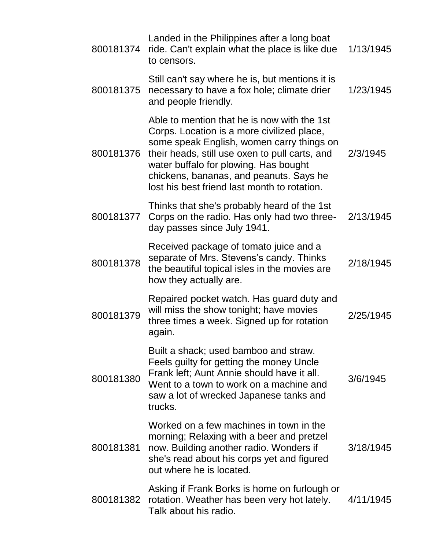| 800181374 | Landed in the Philippines after a long boat<br>ride. Can't explain what the place is like due<br>to censors.                                                                                                                                                                                                                 | 1/13/1945 |
|-----------|------------------------------------------------------------------------------------------------------------------------------------------------------------------------------------------------------------------------------------------------------------------------------------------------------------------------------|-----------|
| 800181375 | Still can't say where he is, but mentions it is<br>necessary to have a fox hole; climate drier<br>and people friendly.                                                                                                                                                                                                       | 1/23/1945 |
| 800181376 | Able to mention that he is now with the 1st<br>Corps. Location is a more civilized place,<br>some speak English, women carry things on<br>their heads, still use oxen to pull carts, and<br>water buffalo for plowing. Has bought<br>chickens, bananas, and peanuts. Says he<br>lost his best friend last month to rotation. | 2/3/1945  |
| 800181377 | Thinks that she's probably heard of the 1st<br>Corps on the radio. Has only had two three-<br>day passes since July 1941.                                                                                                                                                                                                    | 2/13/1945 |
| 800181378 | Received package of tomato juice and a<br>separate of Mrs. Stevens's candy. Thinks<br>the beautiful topical isles in the movies are<br>how they actually are.                                                                                                                                                                | 2/18/1945 |
| 800181379 | Repaired pocket watch. Has guard duty and<br>will miss the show tonight; have movies<br>three times a week. Signed up for rotation<br>again.                                                                                                                                                                                 | 2/25/1945 |
| 800181380 | Built a shack; used bamboo and straw.<br>Feels guilty for getting the money Uncle<br>Frank left; Aunt Annie should have it all.<br>Went to a town to work on a machine and<br>saw a lot of wrecked Japanese tanks and<br>trucks.                                                                                             | 3/6/1945  |
| 800181381 | Worked on a few machines in town in the<br>morning; Relaxing with a beer and pretzel<br>now. Building another radio. Wonders if<br>she's read about his corps yet and figured<br>out where he is located.                                                                                                                    | 3/18/1945 |
| 800181382 | Asking if Frank Borks is home on furlough or<br>rotation. Weather has been very hot lately.<br>Talk about his radio.                                                                                                                                                                                                         | 4/11/1945 |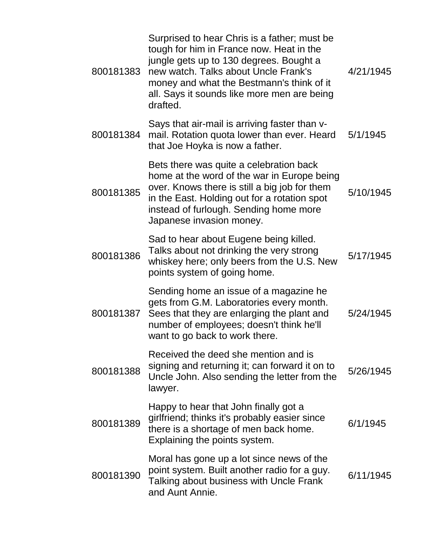| 800181383 | Surprised to hear Chris is a father; must be<br>tough for him in France now. Heat in the<br>jungle gets up to 130 degrees. Bought a<br>new watch. Talks about Uncle Frank's<br>money and what the Bestmann's think of it<br>all. Says it sounds like more men are being<br>drafted. | 4/21/1945 |
|-----------|-------------------------------------------------------------------------------------------------------------------------------------------------------------------------------------------------------------------------------------------------------------------------------------|-----------|
| 800181384 | Says that air-mail is arriving faster than v-<br>mail. Rotation quota lower than ever. Heard<br>that Joe Hoyka is now a father.                                                                                                                                                     | 5/1/1945  |
| 800181385 | Bets there was quite a celebration back<br>home at the word of the war in Europe being<br>over. Knows there is still a big job for them<br>in the East. Holding out for a rotation spot<br>instead of furlough. Sending home more<br>Japanese invasion money.                       | 5/10/1945 |
| 800181386 | Sad to hear about Eugene being killed.<br>Talks about not drinking the very strong<br>whiskey here; only beers from the U.S. New<br>points system of going home.                                                                                                                    | 5/17/1945 |
| 800181387 | Sending home an issue of a magazine he<br>gets from G.M. Laboratories every month.<br>Sees that they are enlarging the plant and<br>number of employees; doesn't think he'll<br>want to go back to work there.                                                                      | 5/24/1945 |
| 800181388 | Received the deed she mention and is<br>signing and returning it; can forward it on to<br>Uncle John. Also sending the letter from the<br>lawyer.                                                                                                                                   | 5/26/1945 |
| 800181389 | Happy to hear that John finally got a<br>girlfriend; thinks it's probably easier since<br>there is a shortage of men back home.<br>Explaining the points system.                                                                                                                    | 6/1/1945  |
| 800181390 | Moral has gone up a lot since news of the<br>point system. Built another radio for a guy.<br>Talking about business with Uncle Frank<br>and Aunt Annie.                                                                                                                             | 6/11/1945 |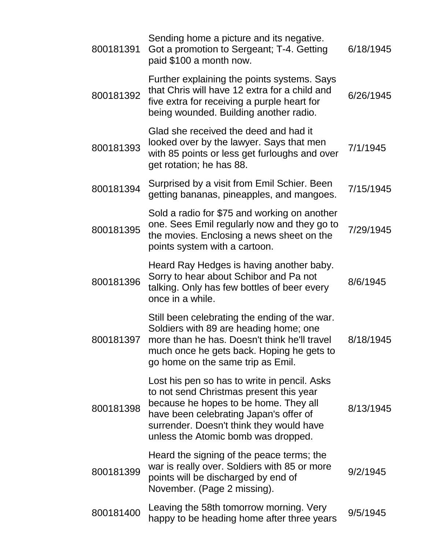| 800181391 | Sending home a picture and its negative.<br>Got a promotion to Sergeant; T-4. Getting<br>paid \$100 a month now.                                                                                                                                              | 6/18/1945 |
|-----------|---------------------------------------------------------------------------------------------------------------------------------------------------------------------------------------------------------------------------------------------------------------|-----------|
| 800181392 | Further explaining the points systems. Says<br>that Chris will have 12 extra for a child and<br>five extra for receiving a purple heart for<br>being wounded. Building another radio.                                                                         | 6/26/1945 |
| 800181393 | Glad she received the deed and had it<br>looked over by the lawyer. Says that men<br>with 85 points or less get furloughs and over<br>get rotation; he has 88.                                                                                                | 7/1/1945  |
| 800181394 | Surprised by a visit from Emil Schier. Been<br>getting bananas, pineapples, and mangoes.                                                                                                                                                                      | 7/15/1945 |
| 800181395 | Sold a radio for \$75 and working on another<br>one. Sees Emil regularly now and they go to<br>the movies. Enclosing a news sheet on the<br>points system with a cartoon.                                                                                     | 7/29/1945 |
| 800181396 | Heard Ray Hedges is having another baby.<br>Sorry to hear about Schibor and Pa not<br>talking. Only has few bottles of beer every<br>once in a while.                                                                                                         | 8/6/1945  |
| 800181397 | Still been celebrating the ending of the war.<br>Soldiers with 89 are heading home; one<br>more than he has. Doesn't think he'll travel<br>much once he gets back. Hoping he gets to<br>go home on the same trip as Emil.                                     | 8/18/1945 |
| 800181398 | Lost his pen so has to write in pencil. Asks<br>to not send Christmas present this year<br>because he hopes to be home. They all<br>have been celebrating Japan's offer of<br>surrender. Doesn't think they would have<br>unless the Atomic bomb was dropped. | 8/13/1945 |
| 800181399 | Heard the signing of the peace terms; the<br>war is really over. Soldiers with 85 or more<br>points will be discharged by end of<br>November. (Page 2 missing).                                                                                               | 9/2/1945  |
| 800181400 | Leaving the 58th tomorrow morning. Very<br>happy to be heading home after three years                                                                                                                                                                         | 9/5/1945  |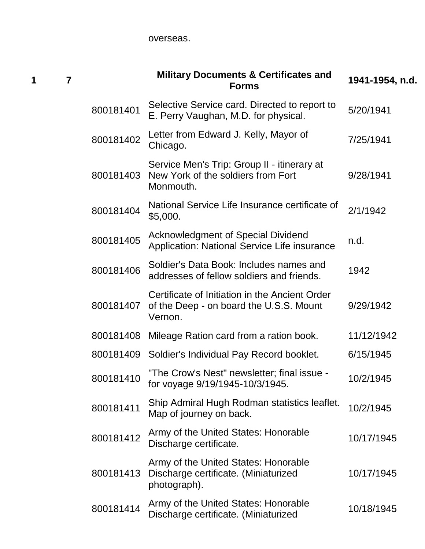overseas.

| 7 |           | <b>Military Documents &amp; Certificates and</b><br><b>Forms</b>                                     | 1941-1954, n.d. |
|---|-----------|------------------------------------------------------------------------------------------------------|-----------------|
|   | 800181401 | Selective Service card. Directed to report to<br>E. Perry Vaughan, M.D. for physical.                | 5/20/1941       |
|   | 800181402 | Letter from Edward J. Kelly, Mayor of<br>Chicago.                                                    | 7/25/1941       |
|   | 800181403 | Service Men's Trip: Group II - itinerary at<br>New York of the soldiers from Fort<br>Monmouth.       | 9/28/1941       |
|   | 800181404 | National Service Life Insurance certificate of<br>\$5,000.                                           | 2/1/1942        |
|   | 800181405 | <b>Acknowledgment of Special Dividend</b><br><b>Application: National Service Life insurance</b>     | n.d.            |
|   | 800181406 | Soldier's Data Book: Includes names and<br>addresses of fellow soldiers and friends.                 | 1942            |
|   | 800181407 | Certificate of Initiation in the Ancient Order<br>of the Deep - on board the U.S.S. Mount<br>Vernon. | 9/29/1942       |
|   | 800181408 | Mileage Ration card from a ration book.                                                              | 11/12/1942      |
|   | 800181409 | Soldier's Individual Pay Record booklet.                                                             | 6/15/1945       |
|   | 800181410 | "The Crow's Nest" newsletter; final issue -<br>for voyage 9/19/1945-10/3/1945.                       | 10/2/1945       |
|   | 800181411 | Ship Admiral Hugh Rodman statistics leaflet.<br>Map of journey on back.                              | 10/2/1945       |
|   | 800181412 | Army of the United States: Honorable<br>Discharge certificate.                                       | 10/17/1945      |
|   | 800181413 | Army of the United States: Honorable<br>Discharge certificate. (Miniaturized<br>photograph).         | 10/17/1945      |
|   | 800181414 | Army of the United States: Honorable<br>Discharge certificate. (Miniaturized                         | 10/18/1945      |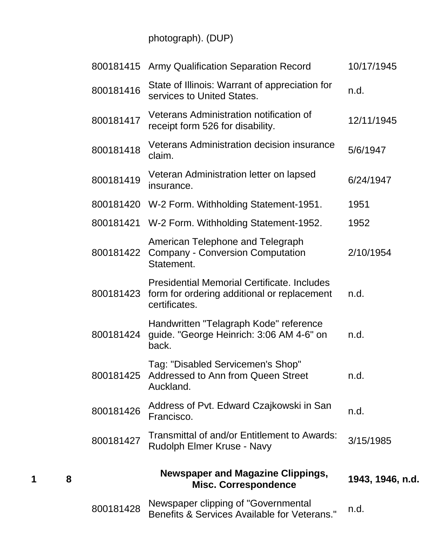photograph). (DUP)

|           | 800181415 Army Qualification Separation Record                                                                     | 10/17/1945       |
|-----------|--------------------------------------------------------------------------------------------------------------------|------------------|
| 800181416 | State of Illinois: Warrant of appreciation for<br>services to United States.                                       | n.d.             |
| 800181417 | Veterans Administration notification of<br>receipt form 526 for disability.                                        | 12/11/1945       |
| 800181418 | <b>Veterans Administration decision insurance</b><br>claim.                                                        | 5/6/1947         |
| 800181419 | Veteran Administration letter on lapsed<br>insurance.                                                              | 6/24/1947        |
|           | 800181420 W-2 Form. Withholding Statement-1951.                                                                    | 1951             |
|           | 800181421 W-2 Form. Withholding Statement-1952.                                                                    | 1952             |
| 800181422 | American Telephone and Telegraph<br><b>Company - Conversion Computation</b><br>Statement.                          | 2/10/1954        |
| 800181423 | <b>Presidential Memorial Certificate, Includes</b><br>form for ordering additional or replacement<br>certificates. | n.d.             |
| 800181424 | Handwritten "Telagraph Kode" reference<br>guide. "George Heinrich: 3:06 AM 4-6" on<br>back.                        | n.d.             |
| 800181425 | Tag: "Disabled Servicemen's Shop"<br>Addressed to Ann from Queen Street<br>Auckland.                               | n.d.             |
| 800181426 | Address of Pvt. Edward Czajkowski in San<br>Francisco.                                                             | n.d.             |
| 800181427 | Transmittal of and/or Entitlement to Awards:<br>Rudolph Elmer Kruse - Navy                                         | 3/15/1985        |
|           | <b>Newspaper and Magazine Clippings,</b><br><b>Misc. Correspondence</b>                                            | 1943, 1946, n.d. |
| 800181428 | Newspaper clipping of "Governmental<br>Benefits & Services Available for Veterans."                                | n.d.             |

**1 8**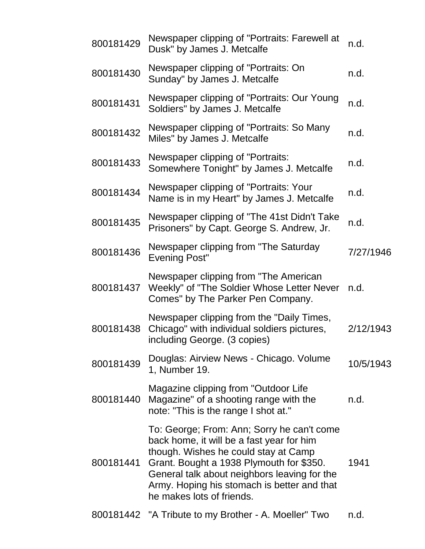| 800181429 | Newspaper clipping of "Portraits: Farewell at<br>Dusk" by James J. Metcalfe                                                                                                                                                                                                                             | n.d.      |
|-----------|---------------------------------------------------------------------------------------------------------------------------------------------------------------------------------------------------------------------------------------------------------------------------------------------------------|-----------|
| 800181430 | Newspaper clipping of "Portraits: On<br>Sunday" by James J. Metcalfe                                                                                                                                                                                                                                    | n.d.      |
| 800181431 | Newspaper clipping of "Portraits: Our Young<br>Soldiers" by James J. Metcalfe                                                                                                                                                                                                                           | n.d.      |
| 800181432 | Newspaper clipping of "Portraits: So Many<br>Miles" by James J. Metcalfe                                                                                                                                                                                                                                | n.d.      |
| 800181433 | Newspaper clipping of "Portraits:<br>Somewhere Tonight" by James J. Metcalfe                                                                                                                                                                                                                            | n.d.      |
| 800181434 | Newspaper clipping of "Portraits: Your<br>Name is in my Heart" by James J. Metcalfe                                                                                                                                                                                                                     | n.d.      |
| 800181435 | Newspaper clipping of "The 41st Didn't Take<br>Prisoners" by Capt. George S. Andrew, Jr.                                                                                                                                                                                                                | n.d.      |
| 800181436 | Newspaper clipping from "The Saturday<br><b>Evening Post"</b>                                                                                                                                                                                                                                           | 7/27/1946 |
| 800181437 | Newspaper clipping from "The American"<br>Weekly" of "The Soldier Whose Letter Never<br>Comes" by The Parker Pen Company.                                                                                                                                                                               | n.d.      |
| 800181438 | Newspaper clipping from the "Daily Times,<br>Chicago" with individual soldiers pictures,<br>including George. (3 copies)                                                                                                                                                                                | 2/12/1943 |
| 800181439 | Douglas: Airview News - Chicago. Volume<br>1, Number 19.                                                                                                                                                                                                                                                | 10/5/1943 |
| 800181440 | Magazine clipping from "Outdoor Life<br>Magazine" of a shooting range with the<br>note: "This is the range I shot at."                                                                                                                                                                                  | n.d.      |
| 800181441 | To: George; From: Ann; Sorry he can't come<br>back home, it will be a fast year for him<br>though. Wishes he could stay at Camp<br>Grant. Bought a 1938 Plymouth for \$350.<br>General talk about neighbors leaving for the<br>Army. Hoping his stomach is better and that<br>he makes lots of friends. | 1941      |
|           | 800181442 "A Tribute to my Brother - A. Moeller" Two                                                                                                                                                                                                                                                    | n.d.      |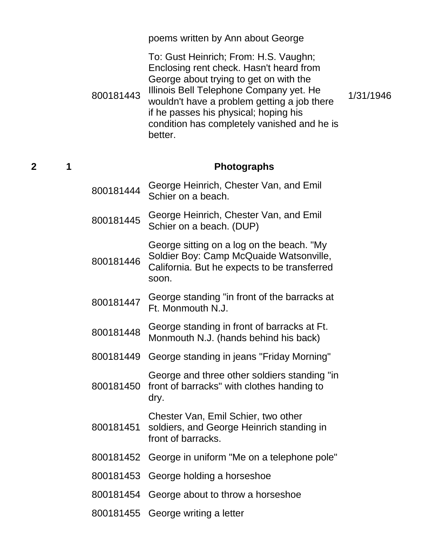|   |   |           | poems written by Ann about George                                                                                                                                                                                                                                                                                       |           |
|---|---|-----------|-------------------------------------------------------------------------------------------------------------------------------------------------------------------------------------------------------------------------------------------------------------------------------------------------------------------------|-----------|
|   |   | 800181443 | To: Gust Heinrich; From: H.S. Vaughn;<br>Enclosing rent check. Hasn't heard from<br>George about trying to get on with the<br>Illinois Bell Telephone Company yet. He<br>wouldn't have a problem getting a job there<br>if he passes his physical; hoping his<br>condition has completely vanished and he is<br>better. | 1/31/1946 |
| 2 | 1 |           | <b>Photographs</b>                                                                                                                                                                                                                                                                                                      |           |
|   |   | 800181444 | George Heinrich, Chester Van, and Emil<br>Schier on a beach.                                                                                                                                                                                                                                                            |           |
|   |   | 800181445 | George Heinrich, Chester Van, and Emil<br>Schier on a beach. (DUP)                                                                                                                                                                                                                                                      |           |
|   |   | 800181446 | George sitting on a log on the beach. "My<br>Soldier Boy: Camp McQuaide Watsonville,<br>California. But he expects to be transferred<br>soon.                                                                                                                                                                           |           |
|   |   | 800181447 | George standing "in front of the barracks at<br>Ft. Monmouth N.J.                                                                                                                                                                                                                                                       |           |
|   |   | 800181448 | George standing in front of barracks at Ft.<br>Monmouth N.J. (hands behind his back)                                                                                                                                                                                                                                    |           |
|   |   |           | 800181449 George standing in jeans "Friday Morning"                                                                                                                                                                                                                                                                     |           |
|   |   | 800181450 | George and three other soldiers standing "in<br>front of barracks" with clothes handing to<br>dry.                                                                                                                                                                                                                      |           |
|   |   | 800181451 | Chester Van, Emil Schier, two other<br>soldiers, and George Heinrich standing in<br>front of barracks.                                                                                                                                                                                                                  |           |
|   |   |           | 800181452 George in uniform "Me on a telephone pole"                                                                                                                                                                                                                                                                    |           |
|   |   |           | 800181453 George holding a horseshoe                                                                                                                                                                                                                                                                                    |           |
|   |   |           | 800181454 George about to throw a horseshoe                                                                                                                                                                                                                                                                             |           |
|   |   |           | 800181455 George writing a letter                                                                                                                                                                                                                                                                                       |           |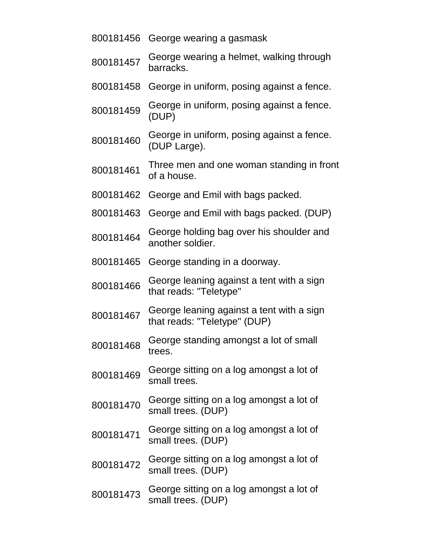|           | 800181456 George wearing a gasmask                                        |
|-----------|---------------------------------------------------------------------------|
| 800181457 | George wearing a helmet, walking through<br>barracks.                     |
| 800181458 | George in uniform, posing against a fence.                                |
| 800181459 | George in uniform, posing against a fence.<br>(DUP)                       |
| 800181460 | George in uniform, posing against a fence.<br>(DUP Large).                |
| 800181461 | Three men and one woman standing in front<br>of a house.                  |
| 800181462 | George and Emil with bags packed.                                         |
| 800181463 | George and Emil with bags packed. (DUP)                                   |
| 800181464 | George holding bag over his shoulder and<br>another soldier.              |
| 800181465 | George standing in a doorway.                                             |
| 800181466 | George leaning against a tent with a sign<br>that reads: "Teletype"       |
| 800181467 | George leaning against a tent with a sign<br>that reads: "Teletype" (DUP) |
| 800181468 | George standing amongst a lot of small<br>trees.                          |
| 800181469 | George sitting on a log amongst a lot of<br>small trees.                  |
| 800181470 | George sitting on a log amongst a lot of<br>small trees. (DUP)            |
| 800181471 | George sitting on a log amongst a lot of<br>small trees. (DUP)            |
| 800181472 | George sitting on a log amongst a lot of<br>small trees. (DUP)            |
| 800181473 | George sitting on a log amongst a lot of<br>small trees. (DUP)            |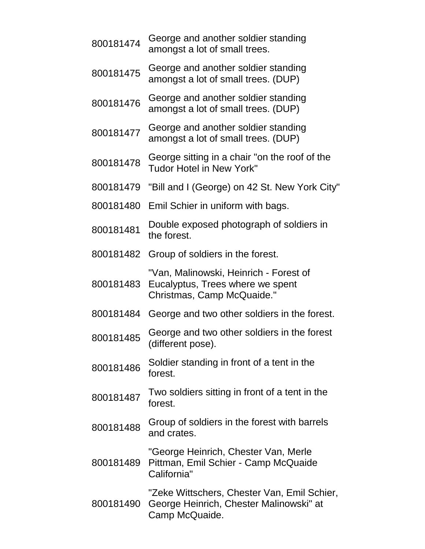<sup>800181474</sup> George and another soldier standing amongst a lot of small trees. <sup>800181475</sup> George and another soldier standing amongst a lot of small trees. (DUP) <sup>800181476</sup> George and another soldier standing amongst a lot of small trees. (DUP) <sup>800181477</sup> George and another soldier standing amongst a lot of small trees. (DUP) <sup>800181478</sup> George sitting in a chair "on the roof of the Tudor Hotel in New York" 800181479 "Bill and I (George) on 42 St. New York City" 800181480 Emil Schier in uniform with bags. <sup>800181481</sup> Double exposed photograph of soldiers in the forest. 800181482 Group of soldiers in the forest. 800181483 Eucalyptus, Trees where we spent "Van, Malinowski, Heinrich - Forest of Christmas, Camp McQuaide." 800181484 George and two other soldiers in the forest. 800181485 George and two other soldiers in the forest (different pose). <sup>800181486</sup> Soldier standing in front of a tent in the forest. <sup>800181487</sup> Two soldiers sitting in front of a tent in the forest. 800181488 Group of soldiers in the forest with barrels and crates. 800181489 Pittman, Emil Schier - Camp McQuaide "George Heinrich, Chester Van, Merle California" 800181490 George Heinrich, Chester Malinowski" at "Zeke Wittschers, Chester Van, Emil Schier, Camp McQuaide.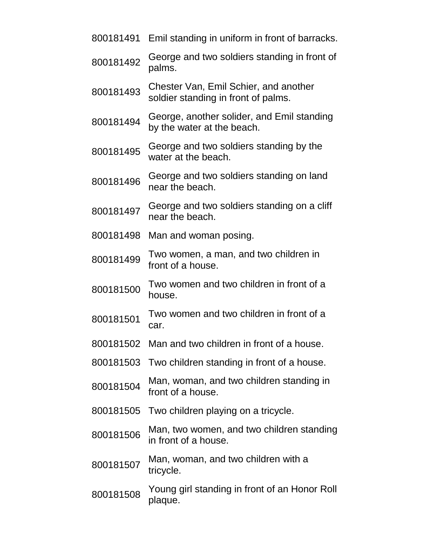- 800181491 Emil standing in uniform in front of barracks.
- 800181492 George and two soldiers standing in front of palms.
- <sup>800181493</sup> Chester Van, Emil Schier, and another soldier standing in front of palms.
- <sup>800181494</sup> George, another solider, and Emil standing by the water at the beach.
- <sup>800181495</sup> George and two soldiers standing by the water at the beach.
- <sup>800181496</sup> George and two soldiers standing on land near the beach.
- <sup>800181497</sup> George and two soldiers standing on a cliff near the beach.
- 800181498 Man and woman posing.
- <sup>800181499</sup> Two women, a man, and two children in front of a house.
- 800181500 Two women and two children in front of a house.
- 800181501 Two women and two children in front of a car.
- 800181502 Man and two children in front of a house.
- 800181503 Two children standing in front of a house.
- <sup>800181504</sup> Man, woman, and two children standing in front of a house.
- 800181505 Two children playing on a tricycle.
- <sup>800181506</sup> Man, two women, and two children standing in front of a house.
- <sup>800181507</sup> Man, woman, and two children with a tricycle.
- 800181508 Young girl standing in front of an Honor Roll plaque.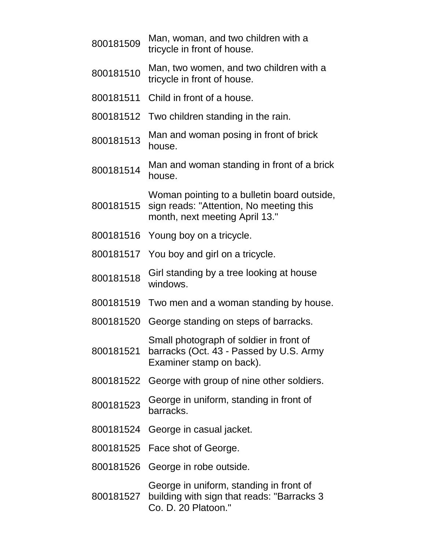| 800181509 | Man, woman, and two children with a<br>tricycle in front of house.                                                       |
|-----------|--------------------------------------------------------------------------------------------------------------------------|
| 800181510 | Man, two women, and two children with a<br>tricycle in front of house.                                                   |
| 800181511 | Child in front of a house.                                                                                               |
| 800181512 | Two children standing in the rain.                                                                                       |
| 800181513 | Man and woman posing in front of brick<br>house.                                                                         |
| 800181514 | Man and woman standing in front of a brick<br>house.                                                                     |
| 800181515 | Woman pointing to a bulletin board outside,<br>sign reads: "Attention, No meeting this<br>month, next meeting April 13." |
| 800181516 | Young boy on a tricycle.                                                                                                 |
| 800181517 | You boy and girl on a tricycle.                                                                                          |
| 800181518 | Girl standing by a tree looking at house<br>windows.                                                                     |
| 800181519 | Two men and a woman standing by house.                                                                                   |
| 800181520 | George standing on steps of barracks.                                                                                    |
| 800181521 | Small photograph of soldier in front of<br>barracks (Oct. 43 - Passed by U.S. Army<br>Examiner stamp on back).           |
| 800181522 | George with group of nine other soldiers.                                                                                |
| 800181523 | George in uniform, standing in front of<br>barracks.                                                                     |
| 800181524 | George in casual jacket.                                                                                                 |
|           | 800181525 Face shot of George.                                                                                           |
| 800181526 | George in robe outside.                                                                                                  |
| 800181527 | George in uniform, standing in front of<br>building with sign that reads: "Barracks 3<br>Co. D. 20 Platoon."             |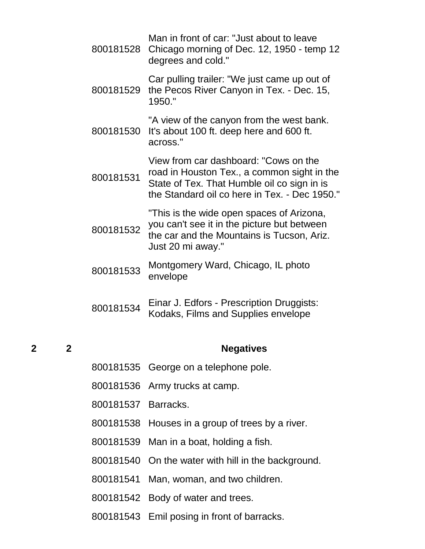| 800181528 | Man in front of car: "Just about to leave<br>Chicago morning of Dec. 12, 1950 - temp 12<br>degrees and cold."                                                                        |
|-----------|--------------------------------------------------------------------------------------------------------------------------------------------------------------------------------------|
| 800181529 | Car pulling trailer: "We just came up out of<br>the Pecos River Canyon in Tex. - Dec. 15,<br>1950."                                                                                  |
| 800181530 | "A view of the canyon from the west bank.<br>It's about 100 ft. deep here and 600 ft.<br>across."                                                                                    |
| 800181531 | View from car dashboard: "Cows on the<br>road in Houston Tex., a common sight in the<br>State of Tex. That Humble oil co sign in is<br>the Standard oil co here in Tex. - Dec 1950." |
| 800181532 | "This is the wide open spaces of Arizona,<br>you can't see it in the picture but between<br>the car and the Mountains is Tucson, Ariz.<br>Just 20 mi away."                          |
| 800181533 | Montgomery Ward, Chicago, IL photo<br>envelope                                                                                                                                       |
| 800181534 | Einar J. Edfors - Prescription Druggists:<br>Kodaks, Films and Supplies envelope                                                                                                     |

#### **2 2 Negatives**

- 800181535 George on a telephone pole.
- 800181536 Army trucks at camp.
- 800181537 Barracks.
- 800181538 Houses in a group of trees by a river.
- 800181539 Man in a boat, holding a fish.
- 800181540 On the water with hill in the background.
- 800181541 Man, woman, and two children.
- 800181542 Body of water and trees.
- 800181543 Emil posing in front of barracks.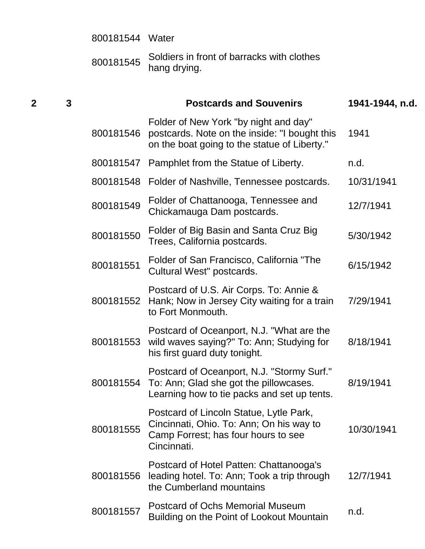|   |              | 800181544 Water |                                                                                                                                           |                 |
|---|--------------|-----------------|-------------------------------------------------------------------------------------------------------------------------------------------|-----------------|
|   |              | 800181545       | Soldiers in front of barracks with clothes<br>hang drying.                                                                                |                 |
| 2 | $\mathbf{3}$ |                 | <b>Postcards and Souvenirs</b>                                                                                                            | 1941-1944, n.d. |
|   |              | 800181546       | Folder of New York "by night and day"<br>postcards. Note on the inside: "I bought this<br>on the boat going to the statue of Liberty."    | 1941            |
|   |              | 800181547       | Pamphlet from the Statue of Liberty.                                                                                                      | n.d.            |
|   |              | 800181548       | Folder of Nashville, Tennessee postcards.                                                                                                 | 10/31/1941      |
|   |              | 800181549       | Folder of Chattanooga, Tennessee and<br>Chickamauga Dam postcards.                                                                        | 12/7/1941       |
|   |              | 800181550       | Folder of Big Basin and Santa Cruz Big<br>Trees, California postcards.                                                                    | 5/30/1942       |
|   |              | 800181551       | Folder of San Francisco, California "The<br>Cultural West" postcards.                                                                     | 6/15/1942       |
|   |              | 800181552       | Postcard of U.S. Air Corps. To: Annie &<br>Hank; Now in Jersey City waiting for a train<br>to Fort Monmouth.                              | 7/29/1941       |
|   |              |                 | Postcard of Oceanport, N.J. "What are the<br>800181553 wild waves saying?" To: Ann; Studying for<br>his first guard duty tonight.         | 8/18/1941       |
|   |              | 800181554       | Postcard of Oceanport, N.J. "Stormy Surf."<br>To: Ann; Glad she got the pillowcases.<br>Learning how to tie packs and set up tents.       | 8/19/1941       |
|   |              | 800181555       | Postcard of Lincoln Statue, Lytle Park,<br>Cincinnati, Ohio. To: Ann; On his way to<br>Camp Forrest; has four hours to see<br>Cincinnati. | 10/30/1941      |
|   |              | 800181556       | Postcard of Hotel Patten: Chattanooga's<br>leading hotel. To: Ann; Took a trip through<br>the Cumberland mountains                        | 12/7/1941       |
|   |              | 800181557       | <b>Postcard of Ochs Memorial Museum</b><br>Building on the Point of Lookout Mountain                                                      | n.d.            |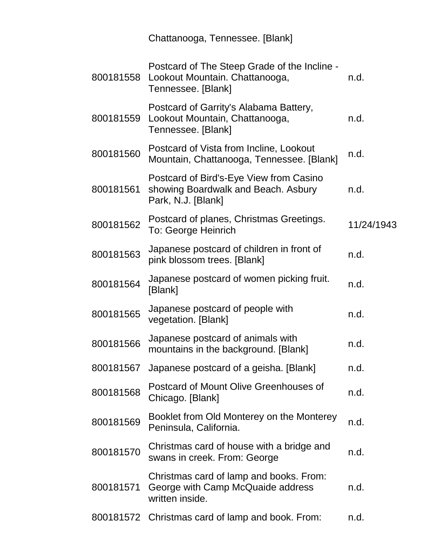|           | Chattanooga, Tennessee. [Blank]                                                                      |            |
|-----------|------------------------------------------------------------------------------------------------------|------------|
| 800181558 | Postcard of The Steep Grade of the Incline -<br>Lookout Mountain. Chattanooga,<br>Tennessee. [Blank] | n.d.       |
| 800181559 | Postcard of Garrity's Alabama Battery,<br>Lookout Mountain, Chattanooga,<br>Tennessee. [Blank]       | n.d.       |
| 800181560 | Postcard of Vista from Incline, Lookout<br>Mountain, Chattanooga, Tennessee. [Blank]                 | n.d.       |
| 800181561 | Postcard of Bird's-Eye View from Casino<br>showing Boardwalk and Beach. Asbury<br>Park, N.J. [Blank] | n.d.       |
| 800181562 | Postcard of planes, Christmas Greetings.<br>To: George Heinrich                                      | 11/24/1943 |
| 800181563 | Japanese postcard of children in front of<br>pink blossom trees. [Blank]                             | n.d.       |
| 800181564 | Japanese postcard of women picking fruit.<br>[Blank]                                                 | n.d.       |
| 800181565 | Japanese postcard of people with<br>vegetation. [Blank]                                              | n.d.       |
| 800181566 | Japanese postcard of animals with<br>mountains in the background. [Blank]                            | n.d.       |
| 800181567 | Japanese postcard of a geisha. [Blank]                                                               | n.d.       |
| 800181568 | Postcard of Mount Olive Greenhouses of<br>Chicago. [Blank]                                           | n.d.       |
| 800181569 | Booklet from Old Monterey on the Monterey<br>Peninsula, California.                                  | n.d.       |
| 800181570 | Christmas card of house with a bridge and<br>swans in creek. From: George                            | n.d.       |
| 800181571 | Christmas card of lamp and books. From:<br>George with Camp McQuaide address<br>written inside.      | n.d.       |
|           | 800181572 Christmas card of lamp and book. From:                                                     | n.d.       |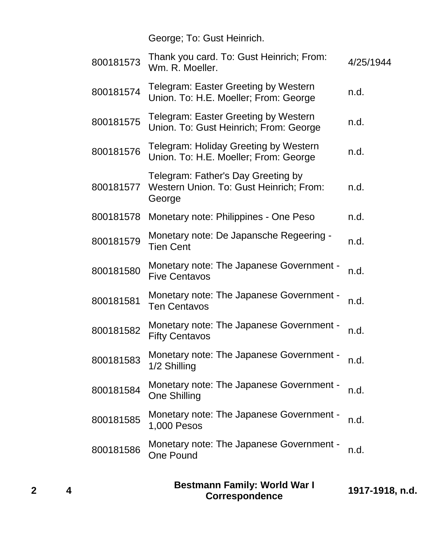George; To: Gust Heinrich.

| 800181573 | Thank you card. To: Gust Heinrich; From:<br>Wm. R. Moeller.                             | 4/25/1944 |
|-----------|-----------------------------------------------------------------------------------------|-----------|
| 800181574 | Telegram: Easter Greeting by Western<br>Union. To: H.E. Moeller; From: George           | n.d.      |
| 800181575 | Telegram: Easter Greeting by Western<br>Union. To: Gust Heinrich; From: George          | n.d.      |
| 800181576 | Telegram: Holiday Greeting by Western<br>Union. To: H.E. Moeller; From: George          | n.d.      |
| 800181577 | Telegram: Father's Day Greeting by<br>Western Union. To: Gust Heinrich; From:<br>George | n.d.      |
| 800181578 | Monetary note: Philippines - One Peso                                                   | n.d.      |
| 800181579 | Monetary note: De Japansche Regeering -<br><b>Tien Cent</b>                             | n.d.      |
| 800181580 | Monetary note: The Japanese Government -<br><b>Five Centavos</b>                        | n.d.      |
| 800181581 | Monetary note: The Japanese Government -<br><b>Ten Centavos</b>                         | n.d.      |
| 800181582 | Monetary note: The Japanese Government -<br><b>Fifty Centavos</b>                       | n.d.      |
| 800181583 | Monetary note: The Japanese Government -<br>1/2 Shilling                                | n.d.      |
| 800181584 | Monetary note: The Japanese Government -<br><b>One Shilling</b>                         | n.d.      |
| 800181585 | Monetary note: The Japanese Government -<br>1,000 Pesos                                 | n.d.      |
| 800181586 | Monetary note: The Japanese Government -<br><b>One Pound</b>                            | n.d.      |
|           |                                                                                         |           |

| <b>Bestmann Family: World War I</b><br>1917-1918, n.d.<br><b>Correspondence</b> |
|---------------------------------------------------------------------------------|
|---------------------------------------------------------------------------------|

**2 4**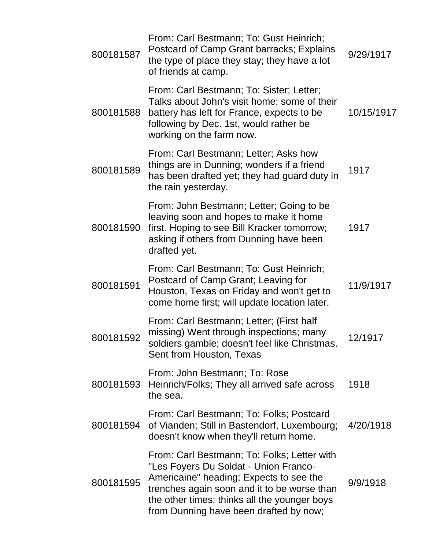| 800181587 | From: Carl Bestmann; To: Gust Heinrich;<br>Postcard of Camp Grant barracks; Explains<br>the type of place they stay; they have a lot<br>of friends at camp.                                                                                                              | 9/29/1917  |
|-----------|--------------------------------------------------------------------------------------------------------------------------------------------------------------------------------------------------------------------------------------------------------------------------|------------|
| 800181588 | From: Carl Bestmann; To: Sister; Letter;<br>Talks about John's visit home; some of their<br>battery has left for France, expects to be<br>following by Dec. 1st, would rather be<br>working on the farm now.                                                             | 10/15/1917 |
| 800181589 | From: Carl Bestmann; Letter; Asks how<br>things are in Dunning; wonders if a friend<br>has been drafted yet; they had guard duty in<br>the rain yesterday.                                                                                                               | 1917       |
| 800181590 | From: John Bestmann; Letter; Going to be<br>leaving soon and hopes to make it home<br>first. Hoping to see Bill Kracker tomorrow;<br>asking if others from Dunning have been<br>drafted yet.                                                                             | 1917       |
| 800181591 | From: Carl Bestmann; To: Gust Heinrich;<br>Postcard of Camp Grant; Leaving for<br>Houston, Texas on Friday and won't get to<br>come home first; will update location later.                                                                                              | 11/9/1917  |
| 800181592 | From: Carl Bestmann; Letter; (First half<br>missing) Went through inspections; many<br>soldiers gamble; doesn't feel like Christmas.<br>Sent from Houston, Texas                                                                                                         | 12/1917    |
| 800181593 | From: John Bestmann; To: Rose<br>Heinrich/Folks; They all arrived safe across<br>the sea.                                                                                                                                                                                | 1918       |
| 800181594 | From: Carl Bestmann; To: Folks; Postcard<br>of Vianden; Still in Bastendorf, Luxembourg;<br>doesn't know when they'll return home.                                                                                                                                       | 4/20/1918  |
| 800181595 | From: Carl Bestmann; To: Folks; Letter with<br>"Les Foyers Du Soldat - Union Franco-<br>Americaine" heading; Expects to see the<br>trenches again soon and it to be worse than<br>the other times; thinks all the younger boys<br>from Dunning have been drafted by now; | 9/9/1918   |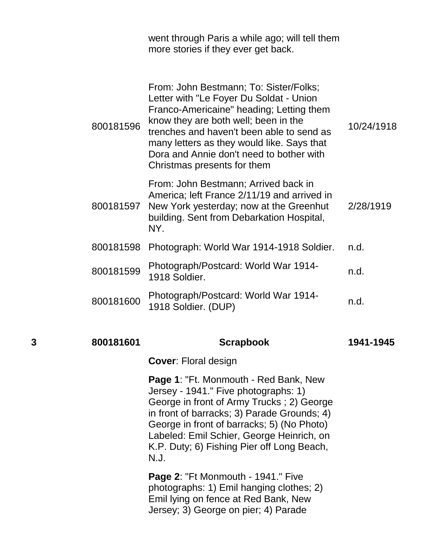went through Paris a while ago; will tell them more stories if they ever get back.

| 800181596 | From: John Bestmann; To: Sister/Folks;<br>Letter with "Le Foyer Du Soldat - Union<br>Franco-Americaine" heading; Letting them<br>know they are both well; been in the<br>trenches and haven't been able to send as<br>many letters as they would like. Says that<br>Dora and Annie don't need to bother with<br>Christmas presents for them | 10/24/1918 |
|-----------|---------------------------------------------------------------------------------------------------------------------------------------------------------------------------------------------------------------------------------------------------------------------------------------------------------------------------------------------|------------|
| 800181597 | From: John Bestmann; Arrived back in<br>America; left France 2/11/19 and arrived in<br>New York yesterday; now at the Greenhut<br>building. Sent from Debarkation Hospital,<br>NY.                                                                                                                                                          | 2/28/1919  |
| 800181598 | Photograph: World War 1914-1918 Soldier.                                                                                                                                                                                                                                                                                                    | n.d.       |
| 800181599 | Photograph/Postcard: World War 1914-<br>1918 Soldier.                                                                                                                                                                                                                                                                                       | n.d.       |
| 800181600 | Photograph/Postcard: World War 1914-<br>1918 Soldier. (DUP)                                                                                                                                                                                                                                                                                 | n.d.       |
|           |                                                                                                                                                                                                                                                                                                                                             |            |

#### **3 800181601 Scrapbook 1941-1945**

**Cover**: Floral design

**Page 1**: "Ft. Monmouth - Red Bank, New Jersey - 1941." Five photographs: 1) George in front of Army Trucks ; 2) George in front of barracks; 3) Parade Grounds; 4) George in front of barracks; 5) (No Photo) Labeled: Emil Schier, George Heinrich, on K.P. Duty; 6) Fishing Pier off Long Beach, N.J.

**Page 2**: "Ft Monmouth - 1941." Five photographs: 1) Emil hanging clothes; 2) Emil lying on fence at Red Bank, New Jersey; 3) George on pier; 4) Parade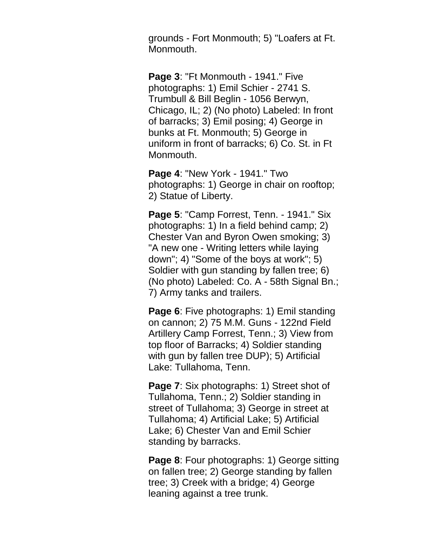grounds - Fort Monmouth; 5) "Loafers at Ft. Monmouth.

**Page 3**: "Ft Monmouth - 1941." Five photographs: 1) Emil Schier - 2741 S. Trumbull & Bill Beglin - 1056 Berwyn, Chicago, IL; 2) (No photo) Labeled: In front of barracks; 3) Emil posing; 4) George in bunks at Ft. Monmouth; 5) George in uniform in front of barracks; 6) Co. St. in Ft Monmouth.

**Page 4**: "New York - 1941." Two photographs: 1) George in chair on rooftop; 2) Statue of Liberty.

**Page 5**: "Camp Forrest, Tenn. - 1941." Six photographs: 1) In a field behind camp; 2) Chester Van and Byron Owen smoking; 3) "A new one - Writing letters while laying down"; 4) "Some of the boys at work"; 5) Soldier with gun standing by fallen tree; 6) (No photo) Labeled: Co. A - 58th Signal Bn.; 7) Army tanks and trailers.

**Page 6**: Five photographs: 1) Emil standing on cannon; 2) 75 M.M. Guns - 122nd Field Artillery Camp Forrest, Tenn.; 3) View from top floor of Barracks; 4) Soldier standing with gun by fallen tree DUP); 5) Artificial Lake: Tullahoma, Tenn.

**Page 7:** Six photographs: 1) Street shot of Tullahoma, Tenn.; 2) Soldier standing in street of Tullahoma; 3) George in street at Tullahoma; 4) Artificial Lake; 5) Artificial Lake; 6) Chester Van and Emil Schier standing by barracks.

**Page 8**: Four photographs: 1) George sitting on fallen tree; 2) George standing by fallen tree; 3) Creek with a bridge; 4) George leaning against a tree trunk.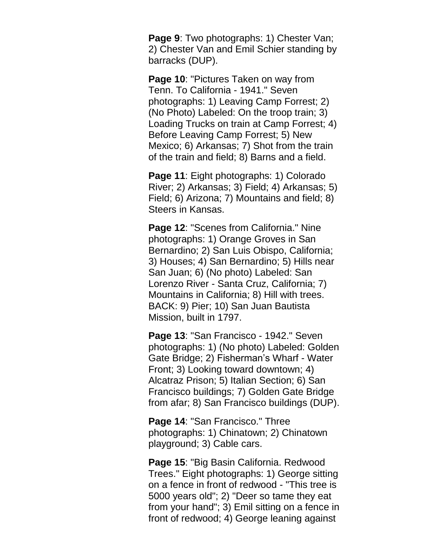**Page 9:** Two photographs: 1) Chester Van; 2) Chester Van and Emil Schier standing by barracks (DUP).

**Page 10**: "Pictures Taken on way from Tenn. To California - 1941." Seven photographs: 1) Leaving Camp Forrest; 2) (No Photo) Labeled: On the troop train; 3) Loading Trucks on train at Camp Forrest; 4) Before Leaving Camp Forrest; 5) New Mexico; 6) Arkansas; 7) Shot from the train of the train and field; 8) Barns and a field.

**Page 11**: Eight photographs: 1) Colorado River; 2) Arkansas; 3) Field; 4) Arkansas; 5) Field; 6) Arizona; 7) Mountains and field; 8) Steers in Kansas.

**Page 12**: "Scenes from California." Nine photographs: 1) Orange Groves in San Bernardino; 2) San Luis Obispo, California; 3) Houses; 4) San Bernardino; 5) Hills near San Juan; 6) (No photo) Labeled: San Lorenzo River - Santa Cruz, California; 7) Mountains in California; 8) Hill with trees. BACK: 9) Pier; 10) San Juan Bautista Mission, built in 1797.

**Page 13**: "San Francisco - 1942." Seven photographs: 1) (No photo) Labeled: Golden Gate Bridge; 2) Fisherman's Wharf - Water Front; 3) Looking toward downtown; 4) Alcatraz Prison; 5) Italian Section; 6) San Francisco buildings; 7) Golden Gate Bridge from afar; 8) San Francisco buildings (DUP).

**Page 14**: "San Francisco." Three photographs: 1) Chinatown; 2) Chinatown playground; 3) Cable cars.

**Page 15**: "Big Basin California. Redwood Trees." Eight photographs: 1) George sitting on a fence in front of redwood - "This tree is 5000 years old"; 2) "Deer so tame they eat from your hand"; 3) Emil sitting on a fence in front of redwood; 4) George leaning against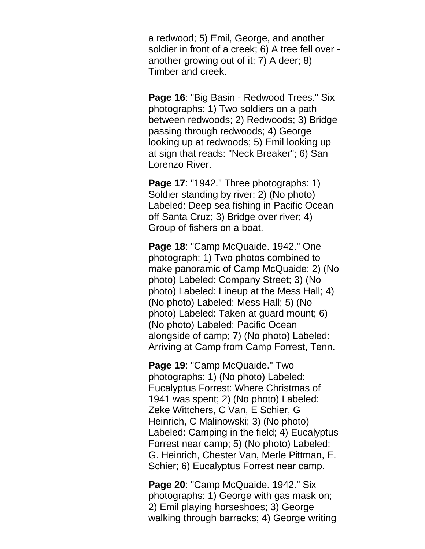a redwood; 5) Emil, George, and another soldier in front of a creek; 6) A tree fell over another growing out of it; 7) A deer; 8) Timber and creek.

**Page 16**: "Big Basin - Redwood Trees." Six photographs: 1) Two soldiers on a path between redwoods; 2) Redwoods; 3) Bridge passing through redwoods; 4) George looking up at redwoods; 5) Emil looking up at sign that reads: "Neck Breaker"; 6) San Lorenzo River.

**Page 17**: "1942." Three photographs: 1) Soldier standing by river; 2) (No photo) Labeled: Deep sea fishing in Pacific Ocean off Santa Cruz; 3) Bridge over river; 4) Group of fishers on a boat.

**Page 18**: "Camp McQuaide. 1942." One photograph: 1) Two photos combined to make panoramic of Camp McQuaide; 2) (No photo) Labeled: Company Street; 3) (No photo) Labeled: Lineup at the Mess Hall; 4) (No photo) Labeled: Mess Hall; 5) (No photo) Labeled: Taken at guard mount; 6) (No photo) Labeled: Pacific Ocean alongside of camp; 7) (No photo) Labeled: Arriving at Camp from Camp Forrest, Tenn.

**Page 19**: "Camp McQuaide." Two photographs: 1) (No photo) Labeled: Eucalyptus Forrest: Where Christmas of 1941 was spent; 2) (No photo) Labeled: Zeke Wittchers, C Van, E Schier, G Heinrich, C Malinowski; 3) (No photo) Labeled: Camping in the field; 4) Eucalyptus Forrest near camp; 5) (No photo) Labeled: G. Heinrich, Chester Van, Merle Pittman, E. Schier; 6) Eucalyptus Forrest near camp.

**Page 20**: "Camp McQuaide. 1942." Six photographs: 1) George with gas mask on; 2) Emil playing horseshoes; 3) George walking through barracks; 4) George writing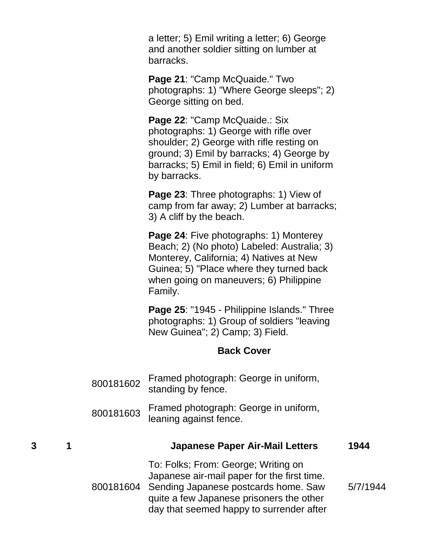a letter; 5) Emil writing a letter; 6) George and another soldier sitting on lumber at barracks.

**Page 21**: "Camp McQuaide." Two photographs: 1) "Where George sleeps"; 2) George sitting on bed.

Page 22: "Camp McQuaide.: Six photographs: 1) George with rifle over shoulder; 2) George with rifle resting on ground; 3) Emil by barracks; 4) George by barracks; 5) Emil in field; 6) Emil in uniform by barracks.

**Page 23**: Three photographs: 1) View of camp from far away; 2) Lumber at barracks; 3) A cliff by the beach.

**Page 24**: Five photographs: 1) Monterey Beach; 2) (No photo) Labeled: Australia; 3) Monterey, California; 4) Natives at New Guinea; 5) "Place where they turned back when going on maneuvers; 6) Philippine Family.

**Page 25**: "1945 - Philippine Islands." Three photographs: 1) Group of soldiers "leaving New Guinea"; 2) Camp; 3) Field.

#### **Back Cover**

- <sup>800181602</sup> Framed photograph: George in uniform, standing by fence.
- <sup>800181603</sup> Framed photograph: George in uniform, leaning against fence.

| 3 | 1 | <b>Japanese Paper Air-Mail Letters</b>                                                                                                                                                                                       | 1944     |
|---|---|------------------------------------------------------------------------------------------------------------------------------------------------------------------------------------------------------------------------------|----------|
|   |   | To: Folks; From: George; Writing on<br>Japanese air-mail paper for the first time.<br>800181604 Sending Japanese postcards home. Saw<br>quite a few Japanese prisoners the other<br>day that seemed happy to surrender after | 5/7/1944 |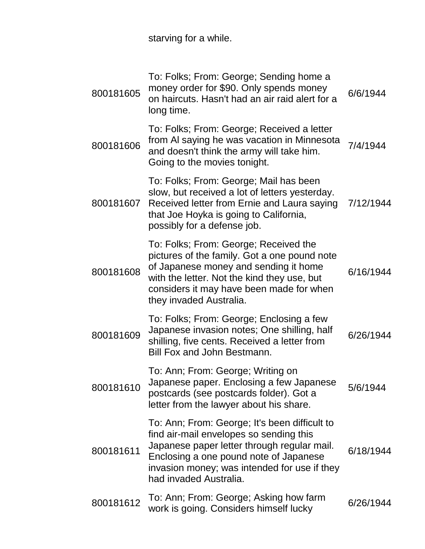starving for a while.

| 800181605 | To: Folks; From: George; Sending home a<br>money order for \$90. Only spends money<br>on haircuts. Hasn't had an air raid alert for a<br>long time.                                                                                                         | 6/6/1944  |
|-----------|-------------------------------------------------------------------------------------------------------------------------------------------------------------------------------------------------------------------------------------------------------------|-----------|
| 800181606 | To: Folks; From: George; Received a letter<br>from AI saying he was vacation in Minnesota<br>and doesn't think the army will take him.<br>Going to the movies tonight.                                                                                      | 7/4/1944  |
| 800181607 | To: Folks; From: George; Mail has been<br>slow, but received a lot of letters yesterday.<br>Received letter from Ernie and Laura saying<br>that Joe Hoyka is going to California,<br>possibly for a defense job.                                            | 7/12/1944 |
| 800181608 | To: Folks; From: George; Received the<br>pictures of the family. Got a one pound note<br>of Japanese money and sending it home<br>with the letter. Not the kind they use, but<br>considers it may have been made for when<br>they invaded Australia.        | 6/16/1944 |
| 800181609 | To: Folks; From: George; Enclosing a few<br>Japanese invasion notes; One shilling, half<br>shilling, five cents. Received a letter from<br>Bill Fox and John Bestmann.                                                                                      | 6/26/1944 |
| 800181610 | To: Ann; From: George; Writing on<br>Japanese paper. Enclosing a few Japanese<br>postcards (see postcards folder). Got a<br>letter from the lawyer about his share.                                                                                         | 5/6/1944  |
| 800181611 | To: Ann; From: George; It's been difficult to<br>find air-mail envelopes so sending this<br>Japanese paper letter through regular mail.<br>Enclosing a one pound note of Japanese<br>invasion money; was intended for use if they<br>had invaded Australia. | 6/18/1944 |
| 800181612 | To: Ann; From: George; Asking how farm<br>work is going. Considers himself lucky                                                                                                                                                                            | 6/26/1944 |